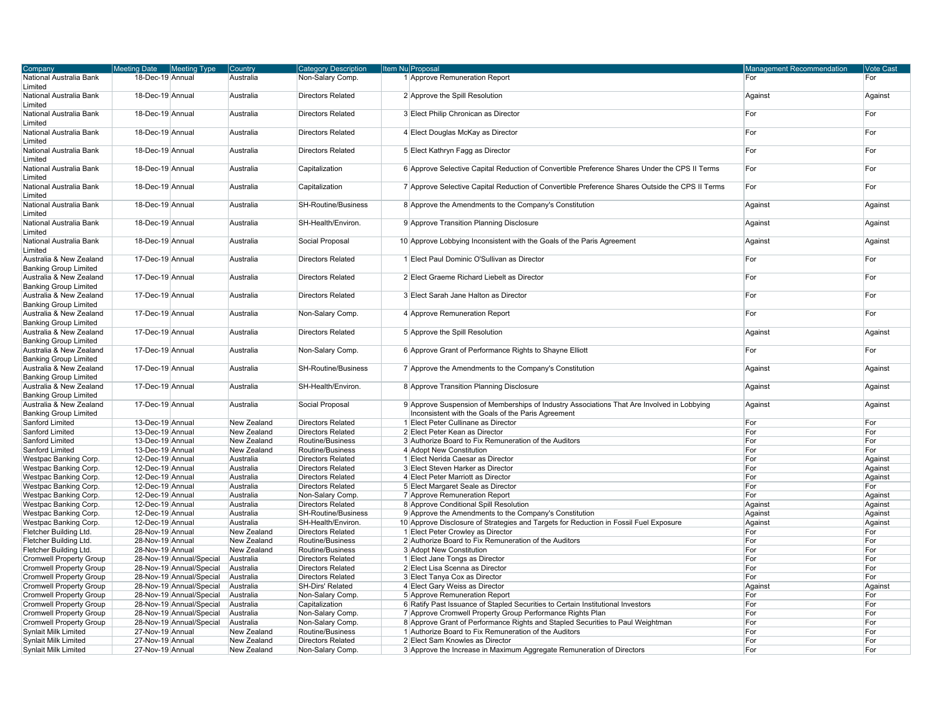| Company                                                 | <b>Meeting Date</b> | <b>Meeting Type</b>      | Country     | <b>Category Description</b> | Item Nu Proposal                                                                                | <b>Management Recommendation</b> | Vote Cast |
|---------------------------------------------------------|---------------------|--------------------------|-------------|-----------------------------|-------------------------------------------------------------------------------------------------|----------------------------------|-----------|
| National Australia Bank                                 | 18-Dec-19 Annual    |                          | Australia   | Non-Salary Comp.            | 1 Approve Remuneration Report                                                                   | For                              | For       |
| Limited                                                 |                     |                          |             |                             |                                                                                                 |                                  |           |
| National Australia Bank<br>Limited                      | 18-Dec-19 Annual    |                          | Australia   | <b>Directors Related</b>    | 2 Approve the Spill Resolution                                                                  | Against                          | Against   |
| National Australia Bank<br>Limited                      | 18-Dec-19 Annual    |                          | Australia   | <b>Directors Related</b>    | 3 Elect Philip Chronican as Director                                                            | For                              | For       |
| National Australia Bank                                 | 18-Dec-19 Annual    |                          | Australia   | <b>Directors Related</b>    | 4 Elect Douglas McKay as Director                                                               | For                              | For       |
| Limited                                                 |                     |                          |             |                             |                                                                                                 |                                  |           |
| National Australia Bank<br>Limited                      | 18-Dec-19 Annual    |                          | Australia   | <b>Directors Related</b>    | 5 Elect Kathryn Fagg as Director                                                                | For                              | For       |
| National Australia Bank<br>Limited                      | 18-Dec-19 Annual    |                          | Australia   | Capitalization              | 6 Approve Selective Capital Reduction of Convertible Preference Shares Under the CPS II Terms   | For                              | For       |
| National Australia Bank<br>Limited                      | 18-Dec-19 Annual    |                          | Australia   | Capitalization              | 7 Approve Selective Capital Reduction of Convertible Preference Shares Outside the CPS II Terms | For                              | For       |
| National Australia Bank                                 | 18-Dec-19 Annual    |                          | Australia   | <b>SH-Routine/Business</b>  | 8 Approve the Amendments to the Company's Constitution                                          | Against                          | Against   |
| Limited                                                 |                     |                          |             |                             |                                                                                                 |                                  |           |
| National Australia Bank<br>Limited                      | 18-Dec-19 Annual    |                          | Australia   | SH-Health/Environ.          | 9 Approve Transition Planning Disclosure                                                        | Against                          | Against   |
| National Australia Bank                                 | 18-Dec-19 Annual    |                          | Australia   | Social Proposal             | 10 Approve Lobbying Inconsistent with the Goals of the Paris Agreement                          | Against                          | Against   |
| Limited                                                 | 17-Dec-19 Annual    |                          |             |                             | 1 Elect Paul Dominic O'Sullivan as Director                                                     |                                  |           |
| Australia & New Zealand<br><b>Banking Group Limited</b> |                     |                          | Australia   | <b>Directors Related</b>    |                                                                                                 | For                              | For       |
| Australia & New Zealand                                 | 17-Dec-19 Annual    |                          | Australia   | <b>Directors Related</b>    | 2 Elect Graeme Richard Liebelt as Director                                                      | For                              | For       |
| <b>Banking Group Limited</b>                            |                     |                          |             |                             |                                                                                                 |                                  |           |
| Australia & New Zealand<br><b>Banking Group Limited</b> | 17-Dec-19 Annual    |                          | Australia   | <b>Directors Related</b>    | 3 Elect Sarah Jane Halton as Director                                                           | For                              | For       |
| Australia & New Zealand<br><b>Banking Group Limited</b> | 17-Dec-19 Annual    |                          | Australia   | Non-Salary Comp.            | 4 Approve Remuneration Report                                                                   | For                              | For       |
| Australia & New Zealand                                 | 17-Dec-19 Annual    |                          | Australia   | <b>Directors Related</b>    | 5 Approve the Spill Resolution                                                                  | Against                          | Against   |
| <b>Banking Group Limited</b>                            |                     |                          |             |                             |                                                                                                 |                                  |           |
| Australia & New Zealand                                 | 17-Dec-19 Annual    |                          | Australia   | Non-Salary Comp.            | 6 Approve Grant of Performance Rights to Shayne Elliott                                         | For                              | For       |
| <b>Banking Group Limited</b>                            |                     |                          |             |                             |                                                                                                 |                                  |           |
| Australia & New Zealand                                 | 17-Dec-19 Annual    |                          | Australia   | <b>SH-Routine/Business</b>  | 7 Approve the Amendments to the Company's Constitution                                          | Against                          | Against   |
| <b>Banking Group Limited</b>                            |                     |                          |             |                             |                                                                                                 |                                  |           |
| Australia & New Zealand<br><b>Banking Group Limited</b> | 17-Dec-19 Annual    |                          | Australia   | SH-Health/Environ.          | 8 Approve Transition Planning Disclosure                                                        | Against                          | Against   |
| Australia & New Zealand                                 | 17-Dec-19 Annual    |                          | Australia   | Social Proposal             | 9 Approve Suspension of Memberships of Industry Associations That Are Involved in Lobbying      | Against                          | Against   |
| <b>Banking Group Limited</b>                            |                     |                          |             |                             | Inconsistent with the Goals of the Paris Agreement                                              |                                  |           |
| Sanford Limited                                         | 13-Dec-19 Annual    |                          | New Zealand | <b>Directors Related</b>    | 1 Elect Peter Cullinane as Director                                                             | For                              | For       |
| Sanford Limited                                         | 13-Dec-19 Annual    |                          | New Zealand | <b>Directors Related</b>    | 2 Elect Peter Kean as Director                                                                  | For                              | For       |
| Sanford Limited                                         | 13-Dec-19 Annual    |                          | New Zealand | Routine/Business            | 3 Authorize Board to Fix Remuneration of the Auditors                                           | For                              | For       |
| Sanford Limited                                         | 13-Dec-19 Annual    |                          | New Zealand | Routine/Business            | 4 Adopt New Constitution                                                                        | For                              | For       |
| Westpac Banking Corp.                                   | 12-Dec-19 Annual    |                          | Australia   | <b>Directors Related</b>    | 1 Elect Nerida Caesar as Director                                                               | For                              | Against   |
| Westpac Banking Corp.                                   | 12-Dec-19 Annual    |                          | Australia   | <b>Directors Related</b>    | 3 Elect Steven Harker as Director                                                               | For                              | Against   |
| Westpac Banking Corp.                                   | 12-Dec-19 Annual    |                          | Australia   | <b>Directors Related</b>    | 4 Elect Peter Marriott as Director                                                              | For                              | Against   |
| Westpac Banking Corp.                                   | 12-Dec-19 Annual    |                          | Australia   | <b>Directors Related</b>    | 5 Elect Margaret Seale as Director                                                              | For                              | For       |
| Westpac Banking Corp.                                   | 12-Dec-19 Annual    |                          | Australia   | Non-Salary Comp             | 7 Approve Remuneration Report                                                                   | For                              | Against   |
| Westpac Banking Corp.                                   | 12-Dec-19 Annual    |                          | Australia   | <b>Directors Related</b>    | 8 Approve Conditional Spill Resolution                                                          | Against                          | Against   |
| Westpac Banking Corp.                                   | 12-Dec-19 Annual    |                          | Australia   | <b>SH-Routine/Business</b>  | 9 Approve the Amendments to the Company's Constitution                                          | Against                          | Against   |
| Westpac Banking Corp.                                   | 12-Dec-19 Annual    |                          | Australia   | SH-Health/Environ.          | 10 Approve Disclosure of Strategies and Targets for Reduction in Fossil Fuel Exposure           | Against                          | Against   |
| Fletcher Building Ltd.                                  | 28-Nov-19 Annual    |                          | New Zealand | <b>Directors Related</b>    | 1 Elect Peter Crowley as Director                                                               | For                              | For       |
| Fletcher Building Ltd.                                  | 28-Nov-19 Annual    |                          | New Zealand | Routine/Business            | 2 Authorize Board to Fix Remuneration of the Auditors                                           | For                              | For       |
| Fletcher Building Ltd.                                  | 28-Nov-19 Annual    |                          | New Zealand | Routine/Business            | 3 Adopt New Constitution                                                                        | For                              | For       |
| <b>Cromwell Property Group</b>                          |                     | 28-Nov-19 Annual/Special | Australia   | <b>Directors Related</b>    | 1 Elect Jane Tongs as Director                                                                  | For                              | For       |
| Cromwell Property Group                                 |                     | 28-Nov-19 Annual/Special | Australia   | <b>Directors Related</b>    | 2 Elect Lisa Scenna as Director                                                                 | For                              | For       |
| <b>Cromwell Property Group</b>                          |                     | 28-Nov-19 Annual/Special | Australia   | <b>Directors Related</b>    | 3 Elect Tanya Cox as Director                                                                   | For                              | For       |
| <b>Cromwell Property Group</b>                          |                     | 28-Nov-19 Annual/Special | Australia   | SH-Dirs' Related            | 4 Elect Gary Weiss as Director                                                                  | Against                          | Against   |
| <b>Cromwell Property Group</b>                          |                     | 28-Nov-19 Annual/Special | Australia   | Non-Salary Comp.            | 5 Approve Remuneration Report                                                                   | For                              | For       |
| <b>Cromwell Property Group</b>                          |                     | 28-Nov-19 Annual/Special | Australia   | Capitalization              | 6 Ratify Past Issuance of Stapled Securities to Certain Institutional Investors                 | For                              | For       |
| <b>Cromwell Property Group</b>                          |                     | 28-Nov-19 Annual/Special | Australia   | Non-Salary Comp             | 7 Approve Cromwell Property Group Performance Rights Plan                                       | For                              | For       |
| <b>Cromwell Property Group</b>                          |                     | 28-Nov-19 Annual/Special | Australia   | Non-Salary Comp             | 8 Approve Grant of Performance Rights and Stapled Securities to Paul Weightman                  | For                              | For       |
| <b>Synlait Milk Limited</b>                             | 27-Nov-19 Annual    |                          | New Zealand | Routine/Business            | 1 Authorize Board to Fix Remuneration of the Auditors                                           | For                              | For       |
| <b>Synlait Milk Limited</b>                             | 27-Nov-19 Annual    |                          | New Zealand | <b>Directors Related</b>    | 2 Elect Sam Knowles as Director                                                                 | For                              | For       |
| <b>Synlait Milk Limited</b>                             | 27-Nov-19 Annual    |                          | New Zealand | Non-Salary Comp             | 3 Approve the Increase in Maximum Aggregate Remuneration of Directors                           | For                              | For       |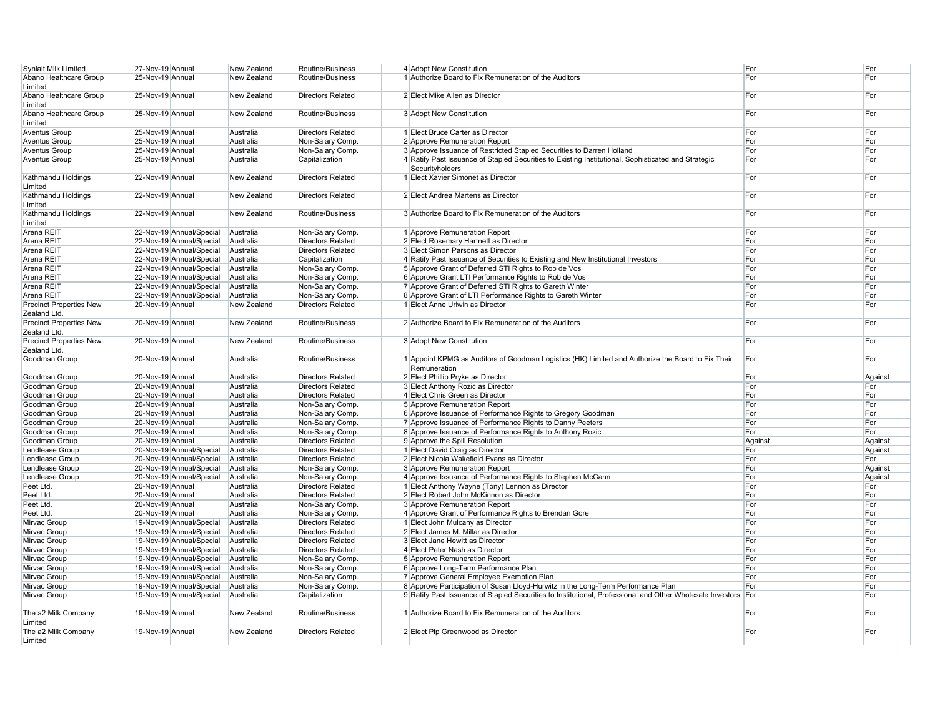| <b>Synlait Milk Limited</b>                    | 27-Nov-19 Annual |                          | New Zealand | Routine/Business         | 4 Adopt New Constitution                                                                                               | For     | For     |
|------------------------------------------------|------------------|--------------------------|-------------|--------------------------|------------------------------------------------------------------------------------------------------------------------|---------|---------|
| Abano Healthcare Group<br>Limited              | 25-Nov-19 Annual |                          | New Zealand | Routine/Business         | 1 Authorize Board to Fix Remuneration of the Auditors                                                                  | For     | For     |
| Abano Healthcare Group<br>Limited              | 25-Nov-19 Annual |                          | New Zealand | <b>Directors Related</b> | 2 Elect Mike Allen as Director                                                                                         | For     | For     |
| Abano Healthcare Group<br>Limited              | 25-Nov-19 Annual |                          | New Zealand | Routine/Business         | 3 Adopt New Constitution                                                                                               | For     | For     |
| <b>Aventus Group</b>                           | 25-Nov-19 Annual |                          | Australia   | <b>Directors Related</b> | 1 Elect Bruce Carter as Director                                                                                       | For     | For     |
| <b>Aventus Group</b>                           | 25-Nov-19 Annual |                          | Australia   | Non-Salary Comp.         | 2 Approve Remuneration Report                                                                                          | For     | For     |
| <b>Aventus Group</b>                           | 25-Nov-19 Annual |                          | Australia   | Non-Salary Comp.         | 3 Approve Issuance of Restricted Stapled Securities to Darren Holland                                                  | For     | For     |
| <b>Aventus Group</b>                           | 25-Nov-19 Annual |                          | Australia   | Capitalization           | 4 Ratify Past Issuance of Stapled Securities to Existing Institutional, Sophisticated and Strategic<br>Securityholders | For     | For     |
| Kathmandu Holdings<br>Limited                  | 22-Nov-19 Annual |                          | New Zealand | <b>Directors Related</b> | 1 Elect Xavier Simonet as Director                                                                                     | For     | For     |
| Kathmandu Holdings<br>Limited                  | 22-Nov-19 Annual |                          | New Zealand | <b>Directors Related</b> | 2 Elect Andrea Martens as Director                                                                                     | For     | For     |
| Kathmandu Holdings<br>Limited                  | 22-Nov-19 Annual |                          | New Zealand | Routine/Business         | 3 Authorize Board to Fix Remuneration of the Auditors                                                                  | For     | For     |
| Arena REIT                                     |                  | 22-Nov-19 Annual/Special | Australia   | Non-Salary Comp.         | 1 Approve Remuneration Report                                                                                          | For     | For     |
| Arena REIT                                     |                  | 22-Nov-19 Annual/Special | Australia   | <b>Directors Related</b> | 2 Elect Rosemary Hartnett as Director                                                                                  | For     | For     |
| Arena REIT                                     |                  | 22-Nov-19 Annual/Special | Australia   | <b>Directors Related</b> | 3 Elect Simon Parsons as Director                                                                                      | For     | For     |
| Arena REIT                                     |                  | 22-Nov-19 Annual/Special | Australia   | Capitalization           | 4 Ratify Past Issuance of Securities to Existing and New Institutional Investors                                       | For     | For     |
| Arena REIT                                     |                  | 22-Nov-19 Annual/Special | Australia   | Non-Salary Comp.         | 5 Approve Grant of Deferred STI Rights to Rob de Vos                                                                   | For     | For     |
| Arena REIT                                     |                  | 22-Nov-19 Annual/Special | Australia   | Non-Salary Comp.         | 6 Approve Grant LTI Performance Rights to Rob de Vos                                                                   | For     | For     |
| Arena REIT                                     |                  | 22-Nov-19 Annual/Special | Australia   | Non-Salary Comp.         | 7 Approve Grant of Deferred STI Rights to Gareth Winter                                                                | For     | For     |
| Arena REIT                                     |                  | 22-Nov-19 Annual/Special | Australia   | Non-Salary Comp.         | 8 Approve Grant of LTI Performance Rights to Gareth Winter                                                             | For     | For     |
| <b>Precinct Properties New</b><br>Zealand Ltd. | 20-Nov-19 Annual |                          | New Zealand | <b>Directors Related</b> | 1 Elect Anne Urlwin as Director                                                                                        | For     | For     |
| Precinct Properties New<br>Zealand Ltd.        | 20-Nov-19 Annual |                          | New Zealand | Routine/Business         | 2 Authorize Board to Fix Remuneration of the Auditors                                                                  | For     | For     |
| <b>Precinct Properties New</b><br>Zealand Ltd. | 20-Nov-19 Annual |                          | New Zealand | Routine/Business         | 3 Adopt New Constitution                                                                                               | For     | For     |
| Goodman Group                                  | 20-Nov-19 Annual |                          | Australia   | Routine/Business         | 1 Appoint KPMG as Auditors of Goodman Logistics (HK) Limited and Authorize the Board to Fix Their<br>Remuneration      | For     | For     |
| Goodman Group                                  | 20-Nov-19 Annual |                          | Australia   | <b>Directors Related</b> | 2 Elect Phillip Pryke as Director                                                                                      | For     | Against |
| Goodman Group                                  | 20-Nov-19 Annual |                          | Australia   | <b>Directors Related</b> | 3 Elect Anthony Rozic as Director                                                                                      | For     | For     |
| Goodman Group                                  | 20-Nov-19 Annual |                          | Australia   | <b>Directors Related</b> | 4 Elect Chris Green as Director                                                                                        | For     | For     |
| Goodman Group                                  | 20-Nov-19 Annual |                          | Australia   | Non-Salary Comp.         | 5 Approve Remuneration Report                                                                                          | For     | For     |
| Goodman Group                                  | 20-Nov-19 Annual |                          | Australia   | Non-Salary Comp.         | 6 Approve Issuance of Performance Rights to Gregory Goodman                                                            | For     | For     |
| Goodman Group                                  | 20-Nov-19 Annual |                          | Australia   | Non-Salary Comp.         | 7 Approve Issuance of Performance Rights to Danny Peeters                                                              | For     | For     |
| Goodman Group                                  | 20-Nov-19 Annual |                          | Australia   | Non-Salary Comp.         | 8 Approve Issuance of Performance Rights to Anthony Rozic                                                              | For     | For     |
| Goodman Group                                  | 20-Nov-19 Annual |                          | Australia   | <b>Directors Related</b> | 9 Approve the Spill Resolution                                                                                         | Against | Against |
| Lendlease Group                                |                  | 20-Nov-19 Annual/Special | Australia   | <b>Directors Related</b> | 1 Elect David Craig as Director                                                                                        | For     | Against |
| Lendlease Group                                |                  | 20-Nov-19 Annual/Special | Australia   | <b>Directors Related</b> | 2 Elect Nicola Wakefield Evans as Director                                                                             | For     | For     |
| Lendlease Group                                |                  | 20-Nov-19 Annual/Special | Australia   | Non-Salary Comp.         | 3 Approve Remuneration Report                                                                                          | For     | Against |
| Lendlease Group                                |                  | 20-Nov-19 Annual/Special | Australia   | Non-Salary Comp.         | 4 Approve Issuance of Performance Rights to Stephen McCann                                                             | For     | Against |
| Peet Ltd.                                      | 20-Nov-19 Annual |                          | Australia   | <b>Directors Related</b> | 1 Elect Anthony Wayne (Tony) Lennon as Director                                                                        | For     | For     |
| Peet Ltd.                                      | 20-Nov-19 Annual |                          | Australia   | <b>Directors Related</b> | 2 Elect Robert John McKinnon as Director                                                                               | For     | For     |
| Peet Ltd.                                      | 20-Nov-19 Annual |                          | Australia   | Non-Salary Comp.         | 3 Approve Remuneration Report                                                                                          | For     | For     |
| Peet Ltd.                                      | 20-Nov-19 Annual |                          | Australia   | Non-Salary Comp.         | 4 Approve Grant of Performance Rights to Brendan Gore                                                                  | For     | For     |
| Mirvac Group                                   |                  | 19-Nov-19 Annual/Special | Australia   | <b>Directors Related</b> | 1 Elect John Mulcahy as Director                                                                                       | For     | For     |
| Mirvac Group                                   |                  | 19-Nov-19 Annual/Special | Australia   | <b>Directors Related</b> | 2 Elect James M. Millar as Director                                                                                    | For     | For     |
| Mirvac Group                                   |                  | 19-Nov-19 Annual/Special | Australia   | <b>Directors Related</b> | 3 Elect Jane Hewitt as Director                                                                                        | For     | For     |
| Mirvac Group                                   |                  | 19-Nov-19 Annual/Special | Australia   | <b>Directors Related</b> | 4 Elect Peter Nash as Director                                                                                         | For     | For     |
| Mirvac Group                                   |                  | 19-Nov-19 Annual/Special | Australia   | Non-Salary Comp.         | 5 Approve Remuneration Report                                                                                          | For     | For     |
| Mirvac Group                                   |                  | 19-Nov-19 Annual/Special | Australia   | Non-Salary Comp.         | 6 Approve Long-Term Performance Plan                                                                                   | For     | For     |
| Mirvac Group                                   |                  | 19-Nov-19 Annual/Special | Australia   | Non-Salary Comp.         | 7 Approve General Employee Exemption Plan                                                                              | For     | For     |
| Mirvac Group                                   |                  | 19-Nov-19 Annual/Special | Australia   | Non-Salary Comp.         | 8 Approve Participation of Susan Lloyd-Hurwitz in the Long-Term Performance Plan                                       | For     | For     |
| Mirvac Group                                   |                  | 19-Nov-19 Annual/Special | Australia   | Capitalization           | 9 Ratify Past Issuance of Stapled Securities to Institutional, Professional and Other Wholesale Investors              | For     | For     |
| The a2 Milk Company<br>Limited                 | 19-Nov-19 Annual |                          | New Zealand | Routine/Business         | 1 Authorize Board to Fix Remuneration of the Auditors                                                                  | For     | For     |
| The a2 Milk Company<br>Limited                 | 19-Nov-19 Annual |                          | New Zealand | <b>Directors Related</b> | 2 Elect Pip Greenwood as Director                                                                                      | For     | For     |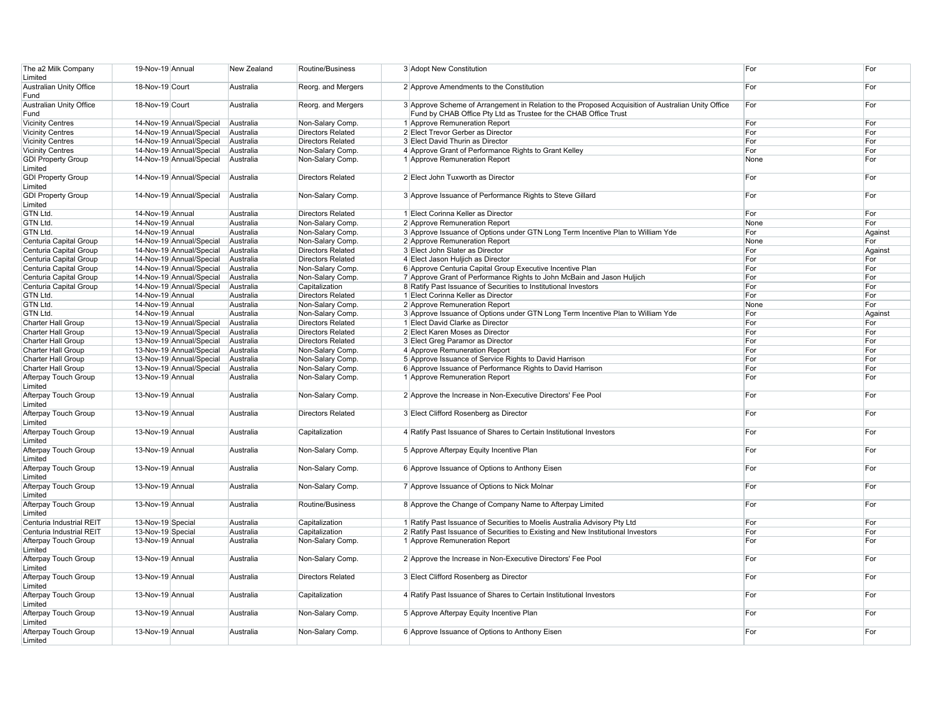| The a2 Milk Company<br>Limited       | 19-Nov-19 Annual  |                          | New Zealand            | Routine/Business         | 3 Adopt New Constitution                                                                                                                                               | For  | For     |
|--------------------------------------|-------------------|--------------------------|------------------------|--------------------------|------------------------------------------------------------------------------------------------------------------------------------------------------------------------|------|---------|
| Australian Unity Office<br>Fund      | 18-Nov-19 Court   |                          | Australia              | Reorg. and Mergers       | 2 Approve Amendments to the Constitution                                                                                                                               | For  | For     |
| Australian Unity Office<br>Fund      | 18-Nov-19 Court   |                          | Australia              | Reorg. and Mergers       | 3 Approve Scheme of Arrangement in Relation to the Proposed Acquisition of Australian Unity Office<br>Fund by CHAB Office Pty Ltd as Trustee for the CHAB Office Trust | For  | For     |
| <b>Vicinity Centres</b>              |                   | 14-Nov-19 Annual/Special | Australia              | Non-Salary Comp.         | 1 Approve Remuneration Report                                                                                                                                          | For  | For     |
| <b>Vicinity Centres</b>              |                   | 14-Nov-19 Annual/Special | Australia              | <b>Directors Related</b> | 2 Elect Trevor Gerber as Director                                                                                                                                      | For  | For     |
| <b>Vicinity Centres</b>              |                   | 14-Nov-19 Annual/Special | Australia              | <b>Directors Related</b> | 3 Elect David Thurin as Director                                                                                                                                       | For  | For     |
| <b>Vicinity Centres</b>              |                   | 14-Nov-19 Annual/Special | Australia              | Non-Salary Comp.         | 4 Approve Grant of Performance Rights to Grant Kelley                                                                                                                  | For  | For     |
|                                      |                   |                          |                        |                          |                                                                                                                                                                        |      | For     |
| <b>GDI Property Group</b><br>Limited |                   | 14-Nov-19 Annual/Special | Australia              | Non-Salary Comp.         | 1 Approve Remuneration Report                                                                                                                                          | None |         |
| <b>GDI Property Group</b><br>Limited |                   | 14-Nov-19 Annual/Special | Australia              | <b>Directors Related</b> | 2 Elect John Tuxworth as Director                                                                                                                                      | For  | For     |
| <b>GDI Property Group</b><br>Limited |                   | 14-Nov-19 Annual/Special | Australia              | Non-Salary Comp.         | 3 Approve Issuance of Performance Rights to Steve Gillard                                                                                                              | For  | For     |
| GTN Ltd.                             | 14-Nov-19 Annual  |                          | Australia              | <b>Directors Related</b> | 1 Elect Corinna Keller as Director                                                                                                                                     | For  | For     |
| GTN Ltd.                             | 14-Nov-19 Annual  |                          | Australia              | Non-Salary Comp.         | 2 Approve Remuneration Report                                                                                                                                          | None | For     |
| GTN Ltd.                             | 14-Nov-19 Annual  |                          | Australia              | Non-Salary Comp.         | 3 Approve Issuance of Options under GTN Long Term Incentive Plan to William Yde                                                                                        | For  | Against |
| Centuria Capital Group               |                   | 14-Nov-19 Annual/Special | Australia              | Non-Salary Comp.         | 2 Approve Remuneration Report                                                                                                                                          | None | For     |
| Centuria Capital Group               |                   | 14-Nov-19 Annual/Special | Australia              | <b>Directors Related</b> | 3 Elect John Slater as Director                                                                                                                                        | For  | Against |
| Centuria Capital Group               |                   | 14-Nov-19 Annual/Special | Australia              | <b>Directors Related</b> | 4 Elect Jason Huljich as Director                                                                                                                                      | For  | For     |
| Centuria Capital Group               |                   | 14-Nov-19 Annual/Special | Australia              | Non-Salary Comp.         | 6 Approve Centuria Capital Group Executive Incentive Plan                                                                                                              | For  | For     |
| Centuria Capital Group               |                   | 14-Nov-19 Annual/Special |                        | Non-Salary Comp.         | 7 Approve Grant of Performance Rights to John McBain and Jason Huljich                                                                                                 | For  | For     |
| Centuria Capital Group               |                   | 14-Nov-19 Annual/Special | Australia<br>Australia | Capitalization           | 8 Ratify Past Issuance of Securities to Institutional Investors                                                                                                        | For  | For     |
|                                      |                   |                          |                        |                          |                                                                                                                                                                        |      |         |
| GTN Ltd.                             | 14-Nov-19 Annual  |                          | Australia              | <b>Directors Related</b> | 1 Elect Corinna Keller as Director                                                                                                                                     | For  | For     |
| GTN Ltd.                             | 14-Nov-19 Annual  |                          | Australia              | Non-Salary Comp.         | 2 Approve Remuneration Report                                                                                                                                          | None | For     |
| GTN Ltd.                             | 14-Nov-19 Annual  |                          | Australia              | Non-Salary Comp.         | 3 Approve Issuance of Options under GTN Long Term Incentive Plan to William Yde                                                                                        | For  | Against |
| <b>Charter Hall Group</b>            |                   | 13-Nov-19 Annual/Special | Australia              | <b>Directors Related</b> | 1 Elect David Clarke as Director                                                                                                                                       | For  | For     |
| <b>Charter Hall Group</b>            |                   | 13-Nov-19 Annual/Special | Australia              | <b>Directors Related</b> | 2 Elect Karen Moses as Director                                                                                                                                        | For  | For     |
| Charter Hall Group                   |                   | 13-Nov-19 Annual/Special | Australia              | <b>Directors Related</b> | 3 Elect Greg Paramor as Director                                                                                                                                       | For  | For     |
| <b>Charter Hall Group</b>            |                   | 13-Nov-19 Annual/Special | Australia              | Non-Salary Comp.         | 4 Approve Remuneration Report                                                                                                                                          | For  | For     |
| Charter Hall Group                   |                   | 13-Nov-19 Annual/Special | Australia              | Non-Salary Comp.         | 5 Approve Issuance of Service Rights to David Harrison                                                                                                                 | For  | For     |
| Charter Hall Group                   |                   | 13-Nov-19 Annual/Special | Australia              | Non-Salary Comp.         | 6 Approve Issuance of Performance Rights to David Harrison                                                                                                             | For  | For     |
| Afterpay Touch Group<br>Limited      | 13-Nov-19 Annual  |                          | Australia              | Non-Salary Comp.         | 1 Approve Remuneration Report                                                                                                                                          | For  | For     |
| Afterpay Touch Group<br>Limited      | 13-Nov-19 Annual  |                          | Australia              | Non-Salary Comp.         | 2 Approve the Increase in Non-Executive Directors' Fee Pool                                                                                                            | For  | For     |
| Afterpay Touch Group<br>Limited      | 13-Nov-19 Annual  |                          | Australia              | <b>Directors Related</b> | 3 Elect Clifford Rosenberg as Director                                                                                                                                 | For  | For     |
| Afterpay Touch Group                 | 13-Nov-19 Annual  |                          | Australia              | Capitalization           | 4 Ratify Past Issuance of Shares to Certain Institutional Investors                                                                                                    | For  | For     |
| Limited                              | 13-Nov-19 Annual  |                          | Australia              | Non-Salary Comp.         | 5 Approve Afterpay Equity Incentive Plan                                                                                                                               | For  | For     |
| Afterpay Touch Group<br>Limited      |                   |                          |                        |                          |                                                                                                                                                                        |      |         |
| Afterpay Touch Group<br>Limited      | 13-Nov-19 Annual  |                          | Australia              | Non-Salary Comp.         | 6 Approve Issuance of Options to Anthony Eisen                                                                                                                         | For  | For     |
| Afterpay Touch Group<br>Limited      | 13-Nov-19 Annual  |                          | Australia              | Non-Salary Comp.         | 7 Approve Issuance of Options to Nick Molnar                                                                                                                           | For  | For     |
| Afterpay Touch Group<br>Limited      | 13-Nov-19 Annual  |                          | Australia              | Routine/Business         | 8 Approve the Change of Company Name to Afterpay Limited                                                                                                               | For  | For     |
| Centuria Industrial REIT             | 13-Nov-19 Special |                          | Australia              | Capitalization           | 1 Ratify Past Issuance of Securities to Moelis Australia Advisory Pty Ltd                                                                                              | For  | For     |
| Centuria Industrial REIT             | 13-Nov-19 Special |                          | Australia              | Capitalization           | 2 Ratify Past Issuance of Securities to Existing and New Institutional Investors                                                                                       | For  | For     |
| Afterpay Touch Group<br>Limited      | 13-Nov-19 Annual  |                          | Australia              | Non-Salary Comp.         | 1 Approve Remuneration Report                                                                                                                                          | For  | For     |
| Afterpay Touch Group                 | 13-Nov-19 Annual  |                          | Australia              | Non-Salary Comp.         | 2 Approve the Increase in Non-Executive Directors' Fee Pool                                                                                                            | For  | For     |
| Limited<br>Afterpay Touch Group      | 13-Nov-19 Annual  |                          | Australia              | <b>Directors Related</b> | 3 Elect Clifford Rosenberg as Director                                                                                                                                 | For  | For     |
| Limited<br>Afterpay Touch Group      | 13-Nov-19 Annual  |                          | Australia              | Capitalization           | 4 Ratify Past Issuance of Shares to Certain Institutional Investors                                                                                                    | For  | For     |
| Limited<br>Afterpay Touch Group      | 13-Nov-19 Annual  |                          | Australia              | Non-Salary Comp.         | 5 Approve Afterpay Equity Incentive Plan                                                                                                                               | For  | For     |
| Limited<br>Afterpay Touch Group      | 13-Nov-19 Annual  |                          | Australia              | Non-Salary Comp.         | 6 Approve Issuance of Options to Anthony Eisen                                                                                                                         | For  | For     |
| Limited                              |                   |                          |                        |                          |                                                                                                                                                                        |      |         |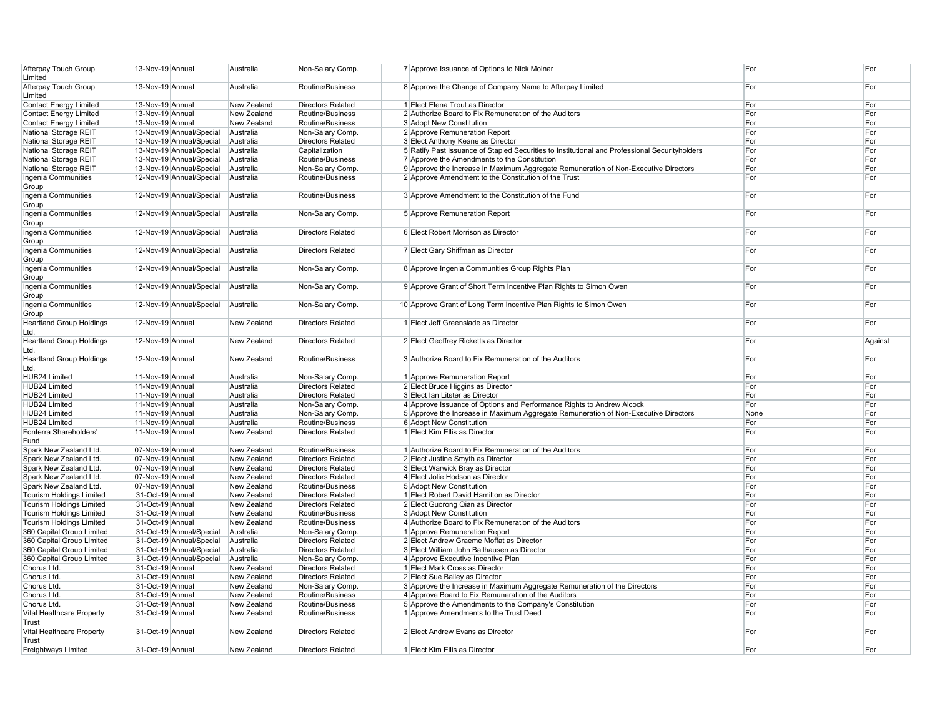| Afterpay Touch Group<br>Limited         | 13-Nov-19 Annual         | Australia   | Non-Salary Comp.         | 7 Approve Issuance of Options to Nick Molnar                                                   | For  | For     |
|-----------------------------------------|--------------------------|-------------|--------------------------|------------------------------------------------------------------------------------------------|------|---------|
| Afterpay Touch Group                    | 13-Nov-19 Annual         | Australia   | Routine/Business         | 8 Approve the Change of Company Name to Afterpay Limited                                       | For  | For     |
|                                         |                          |             |                          |                                                                                                |      |         |
| Limited                                 |                          |             |                          |                                                                                                |      |         |
| Contact Energy Limited                  | 13-Nov-19 Annual         | New Zealand | <b>Directors Related</b> | 1 Elect Elena Trout as Director                                                                | For  | For     |
| <b>Contact Energy Limited</b>           | 13-Nov-19 Annual         | New Zealand | Routine/Business         | 2 Authorize Board to Fix Remuneration of the Auditors                                          | For  | For     |
| <b>Contact Energy Limited</b>           | 13-Nov-19 Annual         | New Zealand | Routine/Business         | 3 Adopt New Constitution                                                                       | For  | For     |
| National Storage REIT                   | 13-Nov-19 Annual/Special | Australia   | Non-Salary Comp.         | 2 Approve Remuneration Report                                                                  | For  | For     |
| National Storage REIT                   | 13-Nov-19 Annual/Special | Australia   | <b>Directors Related</b> | 3 Elect Anthony Keane as Director                                                              | For  | For     |
|                                         |                          |             |                          |                                                                                                |      |         |
| National Storage REIT                   | 13-Nov-19 Annual/Special | Australia   | Capitalization           | 5 Ratify Past Issuance of Stapled Securities to Institutional and Professional Securityholders | For  | For     |
| National Storage REIT                   | 13-Nov-19 Annual/Special | Australia   | Routine/Business         | 7 Approve the Amendments to the Constitution                                                   | For  | For     |
| National Storage REIT                   | 13-Nov-19 Annual/Special | Australia   | Non-Salary Comp.         | 9 Approve the Increase in Maximum Aggregate Remuneration of Non-Executive Directors            | For  | For     |
| Ingenia Communities                     | 12-Nov-19 Annual/Special | Australia   | Routine/Business         | 2 Approve Amendment to the Constitution of the Trust                                           | For  | For     |
| Group<br>Ingenia Communities            | 12-Nov-19 Annual/Special | Australia   | Routine/Business         | 3 Approve Amendment to the Constitution of the Fund                                            | For  | For     |
| Group<br>Ingenia Communities            | 12-Nov-19 Annual/Special | Australia   | Non-Salary Comp.         | 5 Approve Remuneration Report                                                                  | For  | For     |
| Group                                   |                          |             |                          |                                                                                                |      |         |
| Ingenia Communities<br>Group            | 12-Nov-19 Annual/Special | Australia   | <b>Directors Related</b> | 6 Elect Robert Morrison as Director                                                            | For  | For     |
| Ingenia Communities<br>Group            | 12-Nov-19 Annual/Special | Australia   | <b>Directors Related</b> | 7 Elect Gary Shiffman as Director                                                              | For  | For     |
| Ingenia Communities<br>Group            | 12-Nov-19 Annual/Special | Australia   | Non-Salary Comp.         | 8 Approve Ingenia Communities Group Rights Plan                                                | For  | For     |
| Ingenia Communities<br>Group            | 12-Nov-19 Annual/Special | Australia   | Non-Salary Comp.         | 9 Approve Grant of Short Term Incentive Plan Rights to Simon Owen                              | For  | For     |
| Ingenia Communities<br>Group            | 12-Nov-19 Annual/Special | Australia   | Non-Salary Comp.         | 10 Approve Grant of Long Term Incentive Plan Rights to Simon Owen                              | For  | For     |
| <b>Heartland Group Holdings</b><br>Ltd. | 12-Nov-19 Annual         | New Zealand | <b>Directors Related</b> | 1 Elect Jeff Greenslade as Director                                                            | For  | For     |
| <b>Heartland Group Holdings</b><br>Ltd. | 12-Nov-19 Annual         | New Zealand | <b>Directors Related</b> | 2 Elect Geoffrey Ricketts as Director                                                          | For  | Against |
| <b>Heartland Group Holdings</b><br>Ltd. | 12-Nov-19 Annual         | New Zealand | Routine/Business         | 3 Authorize Board to Fix Remuneration of the Auditors                                          | For  | For     |
| HUB24 Limited                           | 11-Nov-19 Annual         | Australia   | Non-Salary Comp.         | 1 Approve Remuneration Report                                                                  | For  | For     |
| HUB24 Limited                           | 11-Nov-19 Annual         | Australia   | <b>Directors Related</b> | 2 Elect Bruce Higgins as Director                                                              | For  | For     |
| <b>HUB24 Limited</b>                    | 11-Nov-19 Annual         |             | <b>Directors Related</b> |                                                                                                | For  | For     |
|                                         |                          | Australia   |                          | 3 Elect Ian Litster as Director                                                                |      |         |
| HUB24 Limited                           | 11-Nov-19 Annual         | Australia   | Non-Salary Comp.         | 4 Approve Issuance of Options and Performance Rights to Andrew Alcock                          | For  | For     |
| HUB24 Limited                           | 11-Nov-19 Annual         | Australia   | Non-Salary Comp.         | 5 Approve the Increase in Maximum Aggregate Remuneration of Non-Executive Directors            | None | For     |
| HUB24 Limited                           | 11-Nov-19 Annual         | Australia   | Routine/Business         | 6 Adopt New Constitution                                                                       | For  | For     |
| Fonterra Shareholders'<br>Fund          | 11-Nov-19 Annual         | New Zealand | <b>Directors Related</b> | 1 Elect Kim Ellis as Director                                                                  | For  | For     |
|                                         |                          |             |                          |                                                                                                |      |         |
| Spark New Zealand Ltd.                  | 07-Nov-19 Annual         | New Zealand | Routine/Business         | 1 Authorize Board to Fix Remuneration of the Auditors                                          | For  | For     |
| Spark New Zealand Ltd.                  | 07-Nov-19 Annual         | New Zealand | <b>Directors Related</b> | 2 Elect Justine Smyth as Director                                                              | For  | For     |
| Spark New Zealand Ltd.                  | 07-Nov-19 Annual         | New Zealand | <b>Directors Related</b> | 3 Elect Warwick Bray as Director                                                               | For  | For     |
| Spark New Zealand Ltd.                  | 07-Nov-19 Annual         | New Zealand | <b>Directors Related</b> | 4 Elect Jolie Hodson as Director                                                               | For  | For     |
| Spark New Zealand Ltd.                  | 07-Nov-19 Annual         | New Zealand | Routine/Business         | 5 Adopt New Constitution                                                                       | For  | For     |
| <b>Tourism Holdings Limited</b>         | 31-Oct-19 Annual         | New Zealand | <b>Directors Related</b> | 1 Elect Robert David Hamilton as Director                                                      | For  | For     |
|                                         |                          |             |                          |                                                                                                |      |         |
| Tourism Holdings Limited                | 31-Oct-19 Annual         | New Zealand | <b>Directors Related</b> | 2 Elect Guorong Qian as Director                                                               | For  | For     |
| Tourism Holdings Limited                | 31-Oct-19 Annual         | New Zealand | Routine/Business         | 3 Adopt New Constitution                                                                       | For  | For     |
| Tourism Holdings Limited                | 31-Oct-19 Annual         | New Zealand | Routine/Business         | 4 Authorize Board to Fix Remuneration of the Auditors                                          | For  | For     |
| 360 Capital Group Limited               | 31-Oct-19 Annual/Special | Australia   | Non-Salary Comp.         | 1 Approve Remuneration Report                                                                  | For  | For     |
| 360 Capital Group Limited               | 31-Oct-19 Annual/Special | Australia   | <b>Directors Related</b> | 2 Elect Andrew Graeme Moffat as Director                                                       | For  | For     |
|                                         |                          |             |                          |                                                                                                | For  | For     |
| 360 Capital Group Limited               | 31-Oct-19 Annual/Special | Australia   | <b>Directors Related</b> | 3 Elect William John Ballhausen as Director                                                    |      |         |
| 360 Capital Group Limited               | 31-Oct-19 Annual/Special | Australia   | Non-Salary Comp.         | 4 Approve Executive Incentive Plan                                                             | For  | For     |
| Chorus Ltd.                             | 31-Oct-19 Annual         | New Zealand | <b>Directors Related</b> | 1 Elect Mark Cross as Director                                                                 | For  | For     |
| Chorus Ltd.                             | 31-Oct-19 Annual         | New Zealand | <b>Directors Related</b> | 2 Elect Sue Bailey as Director                                                                 | For  | For     |
| Chorus Ltd.                             | 31-Oct-19 Annual         | New Zealand | Non-Salary Comp.         | 3 Approve the Increase in Maximum Aggregate Remuneration of the Directors                      | For  | For     |
|                                         |                          |             |                          |                                                                                                |      |         |
| Chorus Ltd.                             | 31-Oct-19 Annual         | New Zealand | Routine/Business         | 4 Approve Board to Fix Remuneration of the Auditors                                            | For  | For     |
| Chorus Ltd.                             | 31-Oct-19 Annual         | New Zealand | Routine/Business         | 5 Approve the Amendments to the Company's Constitution                                         | For  | For     |
| Vital Healthcare Property<br>Trust      | 31-Oct-19 Annual         | New Zealand | Routine/Business         | 1 Approve Amendments to the Trust Deed                                                         | For  | For     |
| Vital Healthcare Property               | 31-Oct-19 Annual         | New Zealand | <b>Directors Related</b> | 2 Elect Andrew Evans as Director                                                               | For  | For     |
| Trust                                   |                          |             |                          |                                                                                                |      |         |
| Freightways Limited                     | 31-Oct-19 Annual         | New Zealand | <b>Directors Related</b> | 1 Elect Kim Ellis as Director                                                                  | For  | For     |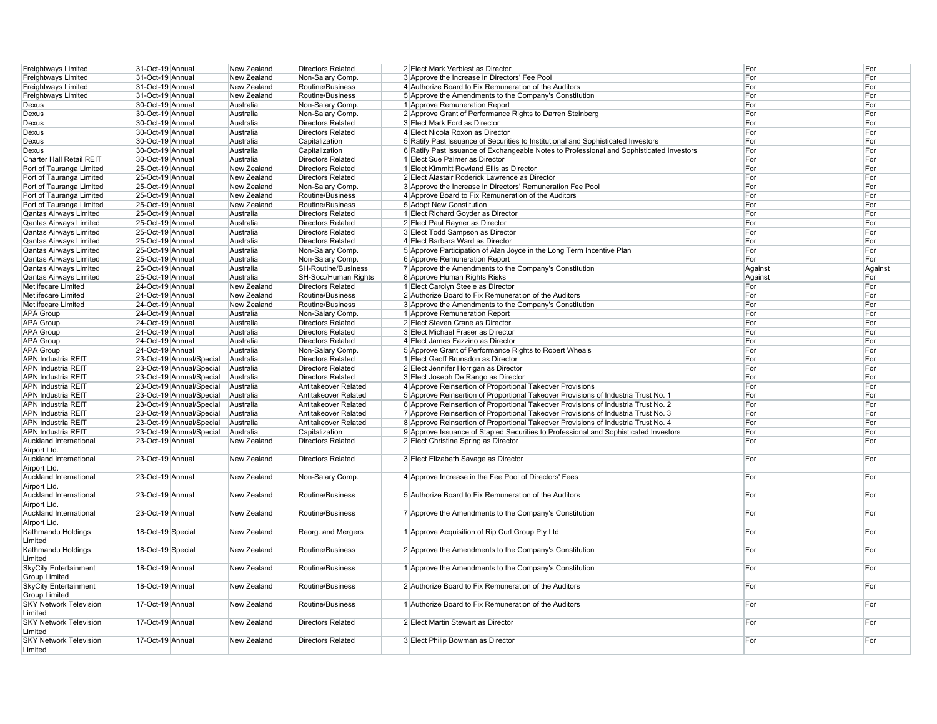| Freightways Limited                           | 31-Oct-19 Annual  |                          | New Zealand | <b>Directors Related</b>   | 2 Elect Mark Verbiest as Director                                                        | For     | For     |
|-----------------------------------------------|-------------------|--------------------------|-------------|----------------------------|------------------------------------------------------------------------------------------|---------|---------|
| Freightways Limited                           | 31-Oct-19 Annual  |                          | New Zealand | Non-Salary Comp.           | 3 Approve the Increase in Directors' Fee Pool                                            | For     | For     |
| Freightways Limited                           | 31-Oct-19 Annual  |                          | New Zealand | Routine/Business           | 4 Authorize Board to Fix Remuneration of the Auditors                                    | For     | For     |
| Freightways Limited                           | 31-Oct-19 Annual  |                          | New Zealand | Routine/Business           | 5 Approve the Amendments to the Company's Constitution                                   | For     | For     |
| Dexus                                         | 30-Oct-19 Annual  |                          | Australia   | Non-Salary Comp.           | 1 Approve Remuneration Report                                                            | For     | For     |
| Dexus                                         | 30-Oct-19 Annual  |                          | Australia   | Non-Salary Comp.           | 2 Approve Grant of Performance Rights to Darren Steinberg                                | For     | For     |
| Dexus                                         | 30-Oct-19 Annual  |                          | Australia   | <b>Directors Related</b>   | 3 Elect Mark Ford as Director                                                            | For     | For     |
| Dexus                                         | 30-Oct-19 Annual  |                          | Australia   | <b>Directors Related</b>   | 4 Elect Nicola Roxon as Director                                                         | For     | For     |
| Dexus                                         | 30-Oct-19 Annual  |                          | Australia   | Capitalization             | 5 Ratify Past Issuance of Securities to Institutional and Sophisticated Investors        | For     | For     |
| Dexus                                         | 30-Oct-19 Annual  |                          | Australia   | Capitalization             | 6 Ratify Past Issuance of Exchangeable Notes to Professional and Sophisticated Investors | For     | For     |
| Charter Hall Retail REIT                      | 30-Oct-19 Annual  |                          | Australia   | <b>Directors Related</b>   | 1 Elect Sue Palmer as Director                                                           | For     | For     |
| Port of Tauranga Limited                      | 25-Oct-19 Annual  |                          | New Zealand | <b>Directors Related</b>   | 1 Elect Kimmitt Rowland Ellis as Director                                                | For     | For     |
| Port of Tauranga Limited                      | 25-Oct-19 Annual  |                          | New Zealand | <b>Directors Related</b>   | 2 Elect Alastair Roderick Lawrence as Director                                           | For     | For     |
| Port of Tauranga Limited                      | 25-Oct-19 Annual  |                          | New Zealand | Non-Salary Comp.           | 3 Approve the Increase in Directors' Remuneration Fee Pool                               | For     | For     |
| Port of Tauranga Limited                      | 25-Oct-19 Annual  |                          | New Zealand | Routine/Business           | 4 Approve Board to Fix Remuneration of the Auditors                                      | For     | For     |
| Port of Tauranga Limited                      | 25-Oct-19 Annual  |                          | New Zealand | Routine/Business           | 5 Adopt New Constitution                                                                 | For     | For     |
| Qantas Airways Limited                        | 25-Oct-19 Annual  |                          | Australia   | <b>Directors Related</b>   |                                                                                          | For     | For     |
|                                               |                   |                          |             |                            | 1 Elect Richard Goyder as Director                                                       |         |         |
| Qantas Airways Limited                        | 25-Oct-19 Annual  |                          | Australia   | <b>Directors Related</b>   | 2 Elect Paul Rayner as Director                                                          | For     | For     |
| Qantas Airways Limited                        | 25-Oct-19 Annual  |                          | Australia   | <b>Directors Related</b>   | 3 Elect Todd Sampson as Director                                                         | For     | For     |
| Qantas Airways Limited                        | 25-Oct-19 Annual  |                          | Australia   | <b>Directors Related</b>   | 4 Elect Barbara Ward as Director                                                         | For     | For     |
| Qantas Airways Limited                        | 25-Oct-19 Annual  |                          | Australia   | Non-Salary Comp.           | 5 Approve Participation of Alan Joyce in the Long Term Incentive Plan                    | For     | For     |
| Qantas Airways Limited                        | 25-Oct-19 Annual  |                          | Australia   | Non-Salary Comp.           | 6 Approve Remuneration Report                                                            | For     | For     |
| Qantas Airways Limited                        | 25-Oct-19 Annual  |                          | Australia   | <b>SH-Routine/Business</b> | 7 Approve the Amendments to the Company's Constitution                                   | Against | Against |
| Qantas Airways Limited                        | 25-Oct-19 Annual  |                          | Australia   | SH-Soc./Human Rights       | 8 Approve Human Rights Risks                                                             | Against | For     |
| Metlifecare Limited                           | 24-Oct-19 Annual  |                          | New Zealand | <b>Directors Related</b>   | 1 Elect Carolyn Steele as Director                                                       | For     | For     |
| Metlifecare Limited                           | 24-Oct-19 Annual  |                          | New Zealand | Routine/Business           | 2 Authorize Board to Fix Remuneration of the Auditors                                    | For     | For     |
| Metlifecare Limited                           | 24-Oct-19 Annual  |                          | New Zealand | Routine/Business           | 3 Approve the Amendments to the Company's Constitution                                   | For     | For     |
| APA Group                                     | 24-Oct-19 Annual  |                          | Australia   | Non-Salary Comp            | 1 Approve Remuneration Report                                                            | For     | For     |
| APA Group                                     | 24-Oct-19 Annual  |                          | Australia   | <b>Directors Related</b>   | 2 Elect Steven Crane as Director                                                         | For     | For     |
| <b>APA Group</b>                              | 24-Oct-19 Annual  |                          | Australia   | <b>Directors Related</b>   | 3 Elect Michael Fraser as Director                                                       | For     | For     |
| APA Group                                     | 24-Oct-19 Annual  |                          | Australia   | <b>Directors Related</b>   | 4 Elect James Fazzino as Director                                                        | For     | For     |
| APA Group                                     | 24-Oct-19 Annual  |                          | Australia   | Non-Salary Comp            | 5 Approve Grant of Performance Rights to Robert Wheals                                   | For     | For     |
| APN Industria REIT                            |                   | 23-Oct-19 Annual/Special | Australia   | <b>Directors Related</b>   | 1 Elect Geoff Brunsdon as Director                                                       | For     | For     |
| APN Industria REIT                            |                   | 23-Oct-19 Annual/Special | Australia   | <b>Directors Related</b>   | 2 Elect Jennifer Horrigan as Director                                                    | For     | For     |
| APN Industria REIT                            |                   | 23-Oct-19 Annual/Special | Australia   | <b>Directors Related</b>   | 3 Elect Joseph De Rango as Director                                                      | For     | For     |
| APN Industria REIT                            |                   | 23-Oct-19 Annual/Special | Australia   | Antitakeover Related       | 4 Approve Reinsertion of Proportional Takeover Provisions                                | For     | For     |
| APN Industria REIT                            |                   | 23-Oct-19 Annual/Special | Australia   | Antitakeover Related       | 5 Approve Reinsertion of Proportional Takeover Provisions of Industria Trust No. 1       | For     | For     |
| APN Industria REIT                            |                   | 23-Oct-19 Annual/Special | Australia   | Antitakeover Related       | 6 Approve Reinsertion of Proportional Takeover Provisions of Industria Trust No. 2       | For     | For     |
| APN Industria REIT                            |                   | 23-Oct-19 Annual/Special | Australia   | Antitakeover Related       | 7 Approve Reinsertion of Proportional Takeover Provisions of Industria Trust No. 3       | For     | For     |
|                                               |                   | 23-Oct-19 Annual/Special | Australia   | Antitakeover Related       |                                                                                          | For     | For     |
| APN Industria REIT                            |                   |                          |             |                            | 8 Approve Reinsertion of Proportional Takeover Provisions of Industria Trust No. 4       | For     |         |
| <b>APN Industria REIT</b>                     |                   | 23-Oct-19 Annual/Special | Australia   | Capitalization             | 9 Approve Issuance of Stapled Securities to Professional and Sophisticated Investors     |         | For     |
| <b>Auckland International</b><br>Airport Ltd. | 23-Oct-19 Annual  |                          | New Zealand | <b>Directors Related</b>   | 2 Elect Christine Spring as Director                                                     | For     | For     |
| <b>Auckland International</b>                 | 23-Oct-19 Annual  |                          | New Zealand | <b>Directors Related</b>   | 3 Elect Elizabeth Savage as Director                                                     | For     | For     |
| Airport Ltd.                                  |                   |                          |             |                            |                                                                                          |         |         |
| Auckland International                        | 23-Oct-19 Annual  |                          | New Zealand | Non-Salary Comp.           | 4 Approve Increase in the Fee Pool of Directors' Fees                                    | For     | For     |
| Airport Ltd.                                  |                   |                          |             |                            |                                                                                          |         |         |
| Auckland International                        | 23-Oct-19 Annual  |                          | New Zealand | Routine/Business           | 5 Authorize Board to Fix Remuneration of the Auditors                                    | For     | For     |
| Airport Ltd.                                  |                   |                          |             |                            |                                                                                          |         |         |
| Auckland International                        | 23-Oct-19 Annual  |                          | New Zealand | Routine/Business           | 7 Approve the Amendments to the Company's Constitution                                   | For     | For     |
| Airport Ltd.                                  |                   |                          |             |                            |                                                                                          |         |         |
| Kathmandu Holdings                            | 18-Oct-19 Special |                          | New Zealand | Reorg. and Mergers         | 1 Approve Acquisition of Rip Curl Group Pty Ltd                                          | For     | For     |
| Limited                                       |                   |                          |             |                            |                                                                                          |         |         |
| Kathmandu Holdings                            | 18-Oct-19 Special |                          | New Zealand | Routine/Business           | 2 Approve the Amendments to the Company's Constitution                                   | For     | For     |
| Limited                                       |                   |                          |             |                            |                                                                                          |         |         |
| <b>SkyCity Entertainment</b>                  | 18-Oct-19 Annual  |                          | New Zealand | Routine/Business           | 1 Approve the Amendments to the Company's Constitution                                   | For     | For     |
| <b>Group Limited</b>                          |                   |                          |             |                            |                                                                                          |         |         |
| <b>SkyCity Entertainment</b>                  | 18-Oct-19 Annual  |                          | New Zealand | Routine/Business           | 2 Authorize Board to Fix Remuneration of the Auditors                                    | For     | For     |
| <b>Group Limited</b>                          |                   |                          |             |                            |                                                                                          |         |         |
| <b>SKY Network Television</b>                 | 17-Oct-19 Annual  |                          | New Zealand | Routine/Business           | 1 Authorize Board to Fix Remuneration of the Auditors                                    | For     | For     |
| Limited                                       |                   |                          |             |                            |                                                                                          |         |         |
| <b>SKY Network Television</b>                 | 17-Oct-19 Annual  |                          | New Zealand | <b>Directors Related</b>   | 2 Elect Martin Stewart as Director                                                       | For     | For     |
| Limited                                       |                   |                          |             |                            |                                                                                          |         |         |
| <b>SKY Network Television</b>                 | 17-Oct-19 Annual  |                          | New Zealand | <b>Directors Related</b>   | 3 Elect Philip Bowman as Director                                                        | For     | For     |
| Limited                                       |                   |                          |             |                            |                                                                                          |         |         |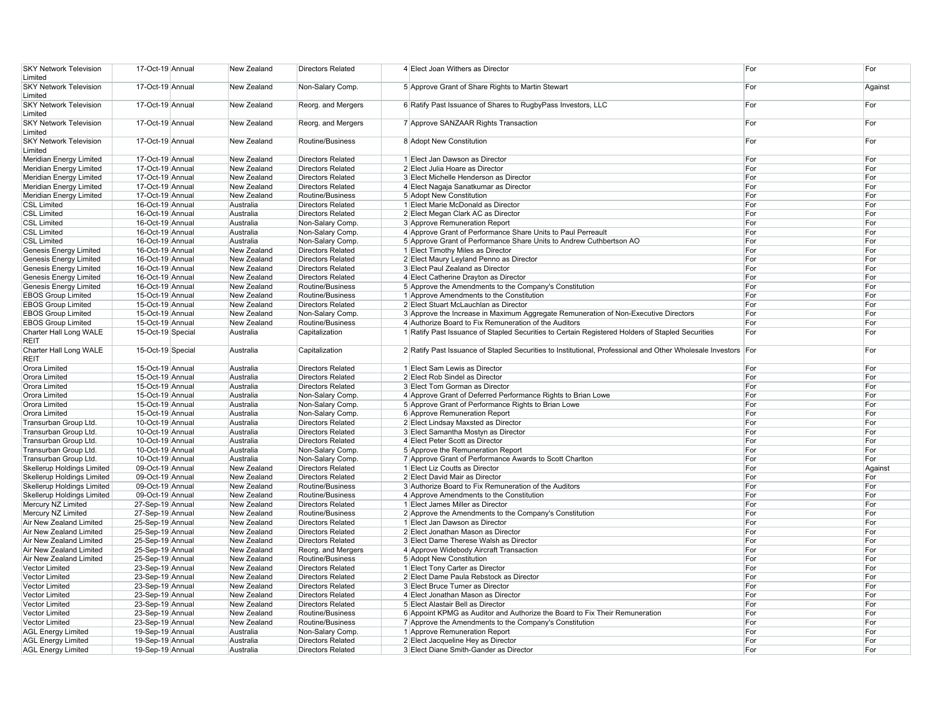| <b>SKY Network Television</b>                                          | 17-Oct-19 Annual                     | New Zealand                | <b>Directors Related</b>                     | 4 Elect Joan Withers as Director                                                                              | For        | For        |
|------------------------------------------------------------------------|--------------------------------------|----------------------------|----------------------------------------------|---------------------------------------------------------------------------------------------------------------|------------|------------|
| Limited                                                                |                                      |                            |                                              |                                                                                                               |            |            |
| <b>SKY Network Television</b>                                          | 17-Oct-19 Annual                     | New Zealand                | Non-Salary Comp.                             | 5 Approve Grant of Share Rights to Martin Stewart                                                             | For        | Against    |
| Limited                                                                | 17-Oct-19 Annual                     |                            |                                              |                                                                                                               | For        |            |
| <b>SKY Network Television</b><br>Limited                               |                                      | New Zealand                | Reorg. and Mergers                           | 6 Ratify Past Issuance of Shares to RugbyPass Investors, LLC                                                  |            | For        |
| <b>SKY Network Television</b>                                          | 17-Oct-19 Annual                     | New Zealand                | Reorg. and Mergers                           | 7 Approve SANZAAR Rights Transaction                                                                          | For        | For        |
| Limited                                                                |                                      |                            |                                              |                                                                                                               |            |            |
| <b>SKY Network Television</b>                                          | 17-Oct-19 Annual                     | New Zealand                | Routine/Business                             | 8 Adopt New Constitution                                                                                      | For        | For        |
| Limited                                                                |                                      |                            |                                              |                                                                                                               |            |            |
| Meridian Energy Limited                                                | 17-Oct-19 Annual                     | New Zealand                | <b>Directors Related</b>                     | 1 Elect Jan Dawson as Director                                                                                | For        | For        |
| Meridian Energy Limited                                                | 17-Oct-19 Annual                     | New Zealand                | <b>Directors Related</b>                     | 2 Elect Julia Hoare as Director                                                                               | For        | For        |
| Meridian Energy Limited                                                | 17-Oct-19 Annual                     | New Zealand                | <b>Directors Related</b>                     | 3 Elect Michelle Henderson as Director                                                                        | For        | For        |
| Meridian Energy Limited                                                | 17-Oct-19 Annual                     | New Zealand                | <b>Directors Related</b>                     | 4 Elect Nagaja Sanatkumar as Director                                                                         | For        | For        |
| Meridian Energy Limited                                                | 17-Oct-19 Annual                     | New Zealand                | Routine/Business                             | 5 Adopt New Constitution                                                                                      | For        | For        |
| CSL Limited                                                            | 16-Oct-19 Annual                     | Australia                  | <b>Directors Related</b>                     | 1 Elect Marie McDonald as Director                                                                            | For        | For        |
| <b>CSL Limited</b>                                                     | 16-Oct-19 Annual                     | Australia                  | <b>Directors Related</b>                     | 2 Elect Megan Clark AC as Director                                                                            | For        | For        |
| <b>CSL Limited</b>                                                     | 16-Oct-19 Annual                     | Australia                  | Non-Salary Comp                              | 3 Approve Remuneration Report                                                                                 | For        | For        |
| <b>CSL Limited</b>                                                     | 16-Oct-19 Annual                     | Australia                  | Non-Salary Comp.                             | 4 Approve Grant of Performance Share Units to Paul Perreault                                                  | For        | For        |
| <b>CSL Limited</b>                                                     | 16-Oct-19 Annual                     | Australia                  | Non-Salary Comp                              | 5 Approve Grant of Performance Share Units to Andrew Cuthbertson AO                                           | For        | For        |
| Genesis Energy Limited                                                 | 16-Oct-19 Annual                     | New Zealand                | <b>Directors Related</b>                     | 1 Elect Timothy Miles as Director                                                                             | For        | For        |
| Genesis Energy Limited                                                 | 16-Oct-19 Annual                     | New Zealand                | <b>Directors Related</b>                     | 2 Elect Maury Leyland Penno as Director                                                                       | For<br>For | For<br>For |
| Genesis Energy Limited                                                 | 16-Oct-19 Annual                     | New Zealand<br>New Zealand | <b>Directors Related</b>                     | 3 Elect Paul Zealand as Director                                                                              | For        |            |
| <b>Genesis Energy Limited</b>                                          | 16-Oct-19 Annual                     | New Zealand                | <b>Directors Related</b>                     | 4 Elect Catherine Drayton as Director                                                                         | For        | For<br>For |
| Genesis Energy Limited<br><b>EBOS Group Limited</b>                    | 16-Oct-19 Annual<br>15-Oct-19 Annual | New Zealand                | Routine/Business<br>Routine/Business         | 5 Approve the Amendments to the Company's Constitution<br>1 Approve Amendments to the Constitution            | For        | For        |
| <b>EBOS Group Limited</b>                                              | 15-Oct-19 Annual                     | New Zealand                | <b>Directors Related</b>                     | 2 Elect Stuart McLauchlan as Director                                                                         | For        | For        |
| <b>EBOS Group Limited</b>                                              | 15-Oct-19 Annual                     | New Zealand                | Non-Salary Comp                              | 3 Approve the Increase in Maximum Aggregate Remuneration of Non-Executive Directors                           | For        | For        |
| <b>EBOS Group Limited</b>                                              | 15-Oct-19 Annual                     | New Zealand                | Routine/Business                             | 4 Authorize Board to Fix Remuneration of the Auditors                                                         | For        | For        |
| Charter Hall Long WALE                                                 | 15-Oct-19 Special                    | Australia                  | Capitalization                               | 1 Ratify Past Issuance of Stapled Securities to Certain Registered Holders of Stapled Securities              | For        | For        |
| REIT                                                                   |                                      |                            |                                              |                                                                                                               |            |            |
| Charter Hall Long WALE                                                 | 15-Oct-19 Special                    | Australia                  | Capitalization                               | 2 Ratify Past Issuance of Stapled Securities to Institutional, Professional and Other Wholesale Investors For |            | For        |
| REIT                                                                   |                                      |                            |                                              |                                                                                                               |            |            |
| Orora Limited                                                          | 15-Oct-19 Annual                     | Australia                  | <b>Directors Related</b>                     | 1 Elect Sam Lewis as Director                                                                                 | For        | For        |
| Orora Limited                                                          | 15-Oct-19 Annual                     | Australia                  | <b>Directors Related</b>                     | 2 Elect Rob Sindel as Director                                                                                | For        | For        |
| Orora Limited                                                          | 15-Oct-19 Annual                     | Australia                  | <b>Directors Related</b>                     | 3 Elect Tom Gorman as Director                                                                                | For        | For        |
| Orora Limited                                                          | 15-Oct-19 Annual                     | Australia                  | Non-Salary Comp.                             | 4 Approve Grant of Deferred Performance Rights to Brian Lowe                                                  | For        | For        |
| Orora Limited                                                          | 15-Oct-19 Annual                     | Australia                  | Non-Salary Comp                              | 5 Approve Grant of Performance Rights to Brian Lowe                                                           | For        | For        |
| Orora Limited                                                          | 15-Oct-19 Annual                     | Australia                  | Non-Salary Comp                              | 6 Approve Remuneration Report                                                                                 | For        | For        |
| Transurban Group Ltd.                                                  | 10-Oct-19 Annual                     | Australia                  | <b>Directors Related</b>                     | 2 Elect Lindsay Maxsted as Director                                                                           | For        | For        |
| Transurban Group Ltd                                                   | 10-Oct-19 Annual                     | Australia                  | <b>Directors Related</b>                     | 3 Elect Samantha Mostyn as Director                                                                           | For        | For        |
| Transurban Group Ltd.                                                  | 10-Oct-19 Annual                     | Australia                  | <b>Directors Related</b>                     | 4 Elect Peter Scott as Director                                                                               | For        | For        |
| Transurban Group Ltd.                                                  | 10-Oct-19 Annual                     | Australia                  | Non-Salary Comp.                             | 5 Approve the Remuneration Report                                                                             | For        | For        |
| Transurban Group Ltd.                                                  | 10-Oct-19 Annual                     | Australia                  | Non-Salary Comp                              | 7 Approve Grant of Performance Awards to Scott Charlton                                                       | For        | For        |
| <b>Skellerup Holdings Limited</b>                                      | 09-Oct-19 Annual                     | New Zealand                | <b>Directors Related</b>                     | 1 Elect Liz Coutts as Director                                                                                | For        | Against    |
| <b>Skellerup Holdings Limited</b><br><b>Skellerup Holdings Limited</b> | 09-Oct-19 Annual<br>09-Oct-19 Annual | New Zealand<br>New Zealand | <b>Directors Related</b><br>Routine/Business | 2 Elect David Mair as Director<br>3 Authorize Board to Fix Remuneration of the Auditors                       | For<br>For | For<br>For |
| Skellerup Holdings Limited                                             | 09-Oct-19 Annual                     | New Zealand                | Routine/Business                             | 4 Approve Amendments to the Constitution                                                                      | For        | For        |
| Mercury NZ Limited                                                     | 27-Sep-19 Annual                     | New Zealand                | <b>Directors Related</b>                     | 1 Elect James Miller as Director                                                                              | For        | For        |
| Mercury NZ Limited                                                     | 27-Sep-19 Annual                     | New Zealand                | Routine/Business                             | 2 Approve the Amendments to the Company's Constitution                                                        | For        | For        |
| Air New Zealand Limited                                                | 25-Sep-19 Annual                     | New Zealand                | <b>Directors Related</b>                     | 1 Elect Jan Dawson as Director                                                                                | For        | For        |
| Air New Zealand Limited                                                | 25-Sep-19 Annual                     | New Zealand                | <b>Directors Related</b>                     | 2 Elect Jonathan Mason as Director                                                                            | For        | For        |
| Air New Zealand Limited                                                | 25-Sep-19 Annual                     | New Zealand                | <b>Directors Related</b>                     | 3 Elect Dame Therese Walsh as Director                                                                        | For        | For        |
| Air New Zealand Limited                                                | 25-Sep-19 Annual                     | New Zealand                | Reorg. and Mergers                           | 4 Approve Widebody Aircraft Transaction                                                                       | For        | For        |
| Air New Zealand Limited                                                | 25-Sep-19 Annual                     | New Zealand                | Routine/Business                             | 5 Adopt New Constitution                                                                                      | For        | For        |
| Vector Limited                                                         | 23-Sep-19 Annual                     | New Zealand                | <b>Directors Related</b>                     | 1 Elect Tony Carter as Director                                                                               | For        | For        |
| Vector Limited                                                         | 23-Sep-19 Annual                     | New Zealand                | <b>Directors Related</b>                     | 2 Elect Dame Paula Rebstock as Director                                                                       | For        | For        |
| Vector Limited                                                         | 23-Sep-19 Annual                     | New Zealand                | <b>Directors Related</b>                     | 3 Elect Bruce Turner as Director                                                                              | For        | For        |
| Vector Limited                                                         | 23-Sep-19 Annual                     | New Zealand                | <b>Directors Related</b>                     | 4 Elect Jonathan Mason as Director                                                                            | For        | For        |
| Vector Limited                                                         | 23-Sep-19 Annual                     | New Zealand                | <b>Directors Related</b>                     | 5 Elect Alastair Bell as Director                                                                             | For        | For        |
| Vector Limited                                                         | 23-Sep-19 Annual                     | New Zealand                | Routine/Business                             | 6 Appoint KPMG as Auditor and Authorize the Board to Fix Their Remuneration                                   | For        | For        |
| Vector Limited                                                         | 23-Sep-19 Annual                     | New Zealand                | Routine/Business                             | 7 Approve the Amendments to the Company's Constitution                                                        | For        | For        |
| <b>AGL Energy Limited</b>                                              | 19-Sep-19 Annual                     | Australia                  | Non-Salary Comp                              | 1 Approve Remuneration Report                                                                                 | For        | For        |
| <b>AGL Energy Limited</b>                                              | 19-Sep-19 Annual                     | Australia                  | <b>Directors Related</b>                     | 2 Elect Jacqueline Hey as Director                                                                            | For        | For        |
| <b>AGL Energy Limited</b>                                              | 19-Sep-19 Annual                     | Australia                  | <b>Directors Related</b>                     | 3 Elect Diane Smith-Gander as Director                                                                        | For        | For        |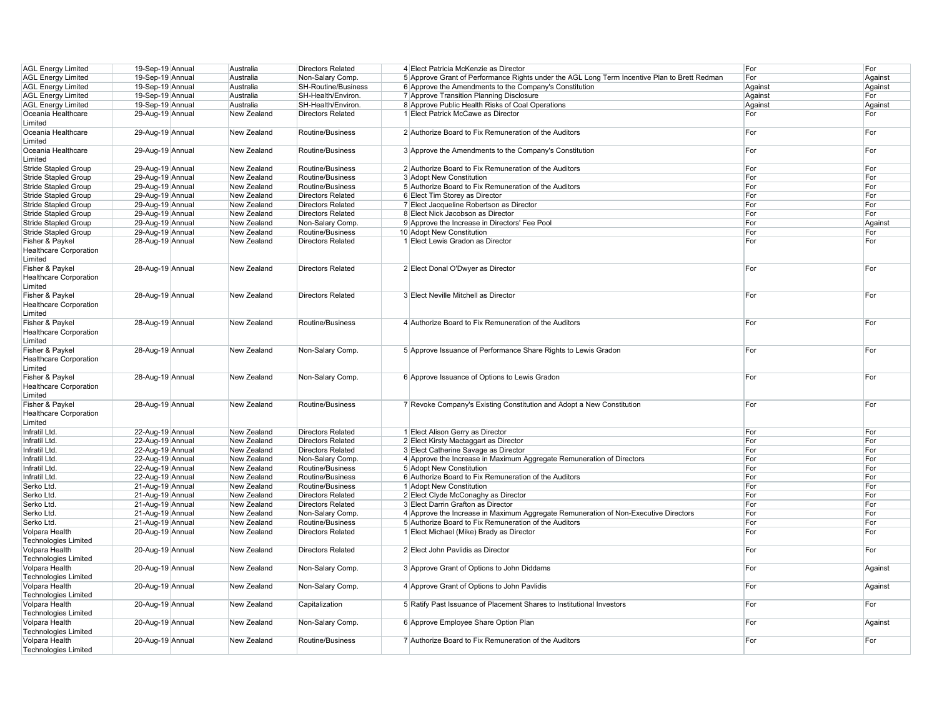| <b>AGL Energy Limited</b>     | 19-Sep-19 Annual | Australia   | <b>Directors Related</b>   | 4 Elect Patricia McKenzie as Director                                                        | For     | For     |
|-------------------------------|------------------|-------------|----------------------------|----------------------------------------------------------------------------------------------|---------|---------|
| <b>AGL Energy Limited</b>     | 19-Sep-19 Annual | Australia   | Non-Salary Comp.           | 5 Approve Grant of Performance Rights under the AGL Long Term Incentive Plan to Brett Redman | For     | Against |
| <b>AGL Energy Limited</b>     | 19-Sep-19 Annual | Australia   | <b>SH-Routine/Business</b> | 6 Approve the Amendments to the Company's Constitution                                       | Against | Against |
|                               |                  |             |                            |                                                                                              |         |         |
| <b>AGL Energy Limited</b>     | 19-Sep-19 Annual | Australia   | SH-Health/Environ.         | 7 Approve Transition Planning Disclosure                                                     | Against | For     |
| <b>AGL Energy Limited</b>     | 19-Sep-19 Annual | Australia   | SH-Health/Environ.         | 8 Approve Public Health Risks of Coal Operations                                             | Against | Against |
| Oceania Healthcare            | 29-Aug-19 Annual | New Zealand | <b>Directors Related</b>   | 1 Elect Patrick McCawe as Director                                                           | For     | For     |
| Limited                       |                  |             |                            |                                                                                              |         |         |
| Oceania Healthcare            | 29-Aug-19 Annual | New Zealand | Routine/Business           | 2 Authorize Board to Fix Remuneration of the Auditors                                        | For     | For     |
| Limited                       |                  |             |                            |                                                                                              |         |         |
| Oceania Healthcare            | 29-Aug-19 Annual | New Zealand | Routine/Business           | 3 Approve the Amendments to the Company's Constitution                                       | For     | For     |
|                               |                  |             |                            |                                                                                              |         |         |
| Limited                       |                  |             |                            |                                                                                              |         |         |
| <b>Stride Stapled Group</b>   | 29-Aug-19 Annual | New Zealand | Routine/Business           | 2 Authorize Board to Fix Remuneration of the Auditors                                        | For     | For     |
| <b>Stride Stapled Group</b>   | 29-Aug-19 Annual | New Zealand | Routine/Business           | 3 Adopt New Constitution                                                                     | For     | For     |
| <b>Stride Stapled Group</b>   | 29-Aug-19 Annual | New Zealand | Routine/Business           | 5 Authorize Board to Fix Remuneration of the Auditors                                        | For     | For     |
| <b>Stride Stapled Group</b>   | 29-Aug-19 Annual | New Zealand | <b>Directors Related</b>   | 6 Elect Tim Storey as Director                                                               | For     | For     |
| <b>Stride Stapled Group</b>   | 29-Aug-19 Annual | New Zealand | <b>Directors Related</b>   | 7 Elect Jacqueline Robertson as Director                                                     | For     | For     |
| <b>Stride Stapled Group</b>   | 29-Aug-19 Annual | New Zealand | <b>Directors Related</b>   | 8 Elect Nick Jacobson as Director                                                            | For     | For     |
| <b>Stride Stapled Group</b>   | 29-Aug-19 Annual | New Zealand | Non-Salary Comp            | 9 Approve the Increase in Directors' Fee Pool                                                | For     | Against |
| <b>Stride Stapled Group</b>   | 29-Aug-19 Annual | New Zealand | Routine/Business           | 10 Adopt New Constitution                                                                    | For     | For     |
|                               |                  |             |                            |                                                                                              |         |         |
| Fisher & Paykel               | 28-Aug-19 Annual | New Zealand | <b>Directors Related</b>   | 1 Elect Lewis Gradon as Director                                                             | For     | For     |
| <b>Healthcare Corporation</b> |                  |             |                            |                                                                                              |         |         |
| Limited                       |                  |             |                            |                                                                                              |         |         |
| Fisher & Paykel               | 28-Aug-19 Annual | New Zealand | <b>Directors Related</b>   | 2 Elect Donal O'Dwyer as Director                                                            | For     | For     |
| <b>Healthcare Corporation</b> |                  |             |                            |                                                                                              |         |         |
| Limited                       |                  |             |                            |                                                                                              |         |         |
| Fisher & Paykel               | 28-Aug-19 Annual | New Zealand | <b>Directors Related</b>   | 3 Elect Neville Mitchell as Director                                                         | For     | For     |
| Healthcare Corporation        |                  |             |                            |                                                                                              |         |         |
|                               |                  |             |                            |                                                                                              |         |         |
| Limited                       |                  |             |                            |                                                                                              |         |         |
| Fisher & Paykel               | 28-Aug-19 Annual | New Zealand | Routine/Business           | 4 Authorize Board to Fix Remuneration of the Auditors                                        | For     | For     |
| <b>Healthcare Corporation</b> |                  |             |                            |                                                                                              |         |         |
| Limited                       |                  |             |                            |                                                                                              |         |         |
| Fisher & Paykel               | 28-Aug-19 Annual | New Zealand | Non-Salary Comp.           | 5 Approve Issuance of Performance Share Rights to Lewis Gradon                               | For     | For     |
| <b>Healthcare Corporation</b> |                  |             |                            |                                                                                              |         |         |
| Limited                       |                  |             |                            |                                                                                              |         |         |
| Fisher & Paykel               | 28-Aug-19 Annual | New Zealand | Non-Salary Comp.           | 6 Approve Issuance of Options to Lewis Gradon                                                | For     | For     |
|                               |                  |             |                            |                                                                                              |         |         |
| <b>Healthcare Corporation</b> |                  |             |                            |                                                                                              |         |         |
| Limited                       |                  |             |                            |                                                                                              |         |         |
| Fisher & Paykel               | 28-Aug-19 Annual | New Zealand | Routine/Business           | 7 Revoke Company's Existing Constitution and Adopt a New Constitution                        | For     | For     |
| <b>Healthcare Corporation</b> |                  |             |                            |                                                                                              |         |         |
| Limited                       |                  |             |                            |                                                                                              |         |         |
| Infratil Ltd.                 | 22-Aug-19 Annual | New Zealand | <b>Directors Related</b>   | 1 Elect Alison Gerry as Director                                                             | For     | For     |
| Infratil Ltd.                 | 22-Aug-19 Annual | New Zealand | <b>Directors Related</b>   | 2 Elect Kirsty Mactaggart as Director                                                        | For     | For     |
| Infratil Ltd.                 | 22-Aug-19 Annual | New Zealand | <b>Directors Related</b>   | 3 Elect Catherine Savage as Director                                                         | For     | For     |
| Infratil Ltd.                 | 22-Aug-19 Annual | New Zealand | Non-Salary Comp.           | 4 Approve the Increase in Maximum Aggregate Remuneration of Directors                        | For     | For     |
|                               | 22-Aug-19 Annual | New Zealand |                            |                                                                                              | For     | For     |
| Infratil Ltd.                 |                  |             | Routine/Business           | 5 Adopt New Constitution                                                                     |         |         |
| Infratil Ltd.                 | 22-Aug-19 Annual | New Zealand | Routine/Business           | 6 Authorize Board to Fix Remuneration of the Auditors                                        | For     | For     |
| Serko Ltd.                    | 21-Aug-19 Annual | New Zealand | Routine/Business           | 1 Adopt New Constitution                                                                     | For     | For     |
| Serko Ltd.                    | 21-Aug-19 Annual | New Zealand | <b>Directors Related</b>   | 2 Elect Clyde McConaghy as Director                                                          | For     | For     |
| Serko Ltd.                    | 21-Aug-19 Annual | New Zealand | <b>Directors Related</b>   | 3 Elect Darrin Grafton as Director                                                           | For     | For     |
| Serko Ltd.                    | 21-Aug-19 Annual | New Zealand | Non-Salary Comp.           | 4 Approve the Increase in Maximum Aggregate Remuneration of Non-Executive Directors          | For     | For     |
| Serko Ltd.                    | 21-Aug-19 Annual | New Zealand | Routine/Business           | 5 Authorize Board to Fix Remuneration of the Auditors                                        | For     | For     |
| Volpara Health                | 20-Aug-19 Annual | New Zealand | <b>Directors Related</b>   | 1 Elect Michael (Mike) Brady as Director                                                     | For     | For     |
| <b>Technologies Limited</b>   |                  |             |                            |                                                                                              |         |         |
| Volpara Health                | 20-Aug-19 Annual | New Zealand | <b>Directors Related</b>   | 2 Elect John Pavlidis as Director                                                            | For     | For     |
|                               |                  |             |                            |                                                                                              |         |         |
| <b>Technologies Limited</b>   |                  |             |                            |                                                                                              |         |         |
| Volpara Health                | 20-Aug-19 Annual | New Zealand | Non-Salary Comp.           | 3 Approve Grant of Options to John Diddams                                                   | For     | Against |
| Technologies Limited          |                  |             |                            |                                                                                              |         |         |
| Volpara Health                | 20-Aug-19 Annual | New Zealand | Non-Salary Comp.           | 4 Approve Grant of Options to John Pavlidis                                                  | For     | Against |
| <b>Technologies Limited</b>   |                  |             |                            |                                                                                              |         |         |
| Volpara Health                | 20-Aug-19 Annual | New Zealand | Capitalization             | 5 Ratify Past Issuance of Placement Shares to Institutional Investors                        | For     | For     |
| Technologies Limited          |                  |             |                            |                                                                                              |         |         |
| Volpara Health                | 20-Aug-19 Annual | New Zealand | Non-Salary Comp.           | 6 Approve Employee Share Option Plan                                                         | For     | Against |
|                               |                  |             |                            |                                                                                              |         |         |
| <b>Technologies Limited</b>   |                  |             |                            |                                                                                              |         |         |
| Volpara Health                | 20-Aug-19 Annual | New Zealand | Routine/Business           | 7 Authorize Board to Fix Remuneration of the Auditors                                        | For     | For     |
| <b>Technologies Limited</b>   |                  |             |                            |                                                                                              |         |         |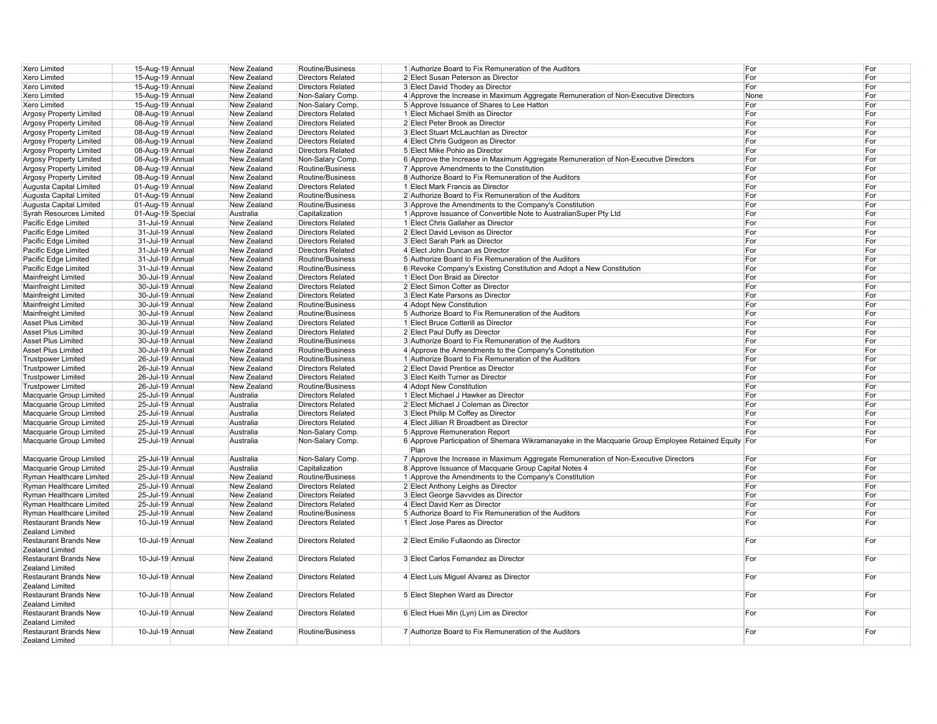| Xero Limited                                    | 15-Aug-19 Annual  | New Zealand | Routine/Business         | 1 Authorize Board to Fix Remuneration of the Auditors                                                        | For  | For |
|-------------------------------------------------|-------------------|-------------|--------------------------|--------------------------------------------------------------------------------------------------------------|------|-----|
| Xero Limited                                    | 15-Aug-19 Annual  | New Zealand | <b>Directors Related</b> | 2 Elect Susan Peterson as Director                                                                           | For  | For |
| Xero Limited                                    | 15-Aug-19 Annual  | New Zealand | <b>Directors Related</b> | 3 Elect David Thodey as Director                                                                             | For  | For |
| Xero Limited                                    | 15-Aug-19 Annual  | New Zealand | Non-Salary Comp.         | 4 Approve the Increase in Maximum Aggregate Remuneration of Non-Executive Directors                          | None | For |
| Xero Limited                                    | 15-Aug-19 Annual  | New Zealand | Non-Salary Comp.         | 5 Approve Issuance of Shares to Lee Hatton                                                                   | For  | For |
| Argosy Property Limited                         | 08-Aug-19 Annual  | New Zealand | <b>Directors Related</b> | 1 Elect Michael Smith as Director                                                                            | For  | For |
| Argosy Property Limited                         | 08-Aug-19 Annual  | New Zealand | <b>Directors Related</b> | 2 Elect Peter Brook as Director                                                                              | For  | For |
| Argosy Property Limited                         | 08-Aug-19 Annual  | New Zealand | <b>Directors Related</b> | 3 Elect Stuart McLauchlan as Director                                                                        | For  | For |
| Argosy Property Limited                         | 08-Aug-19 Annual  | New Zealand | <b>Directors Related</b> | 4 Elect Chris Gudgeon as Director                                                                            | For  | For |
| Argosy Property Limited                         | 08-Aug-19 Annual  | New Zealand | <b>Directors Related</b> | 5 Elect Mike Pohio as Director                                                                               | For  | For |
| Argosy Property Limited                         | 08-Aug-19 Annual  | New Zealand | Non-Salary Comp.         | 6 Approve the Increase in Maximum Aggregate Remuneration of Non-Executive Directors                          | For  | For |
| Argosy Property Limited                         | 08-Aug-19 Annual  | New Zealand | Routine/Business         | 7 Approve Amendments to the Constitution                                                                     | For  | For |
| Argosy Property Limited                         | 08-Aug-19 Annual  | New Zealand | Routine/Business         | 8 Authorize Board to Fix Remuneration of the Auditors                                                        | For  | For |
|                                                 | 01-Aug-19 Annual  | New Zealand | <b>Directors Related</b> | 1 Elect Mark Francis as Director                                                                             | For  | For |
| Augusta Capital Limited                         |                   |             |                          |                                                                                                              |      | For |
| Augusta Capital Limited                         | 01-Aug-19 Annual  | New Zealand | Routine/Business         | 2 Authorize Board to Fix Remuneration of the Auditors                                                        | For  |     |
| Augusta Capital Limited                         | 01-Aug-19 Annual  | New Zealand | Routine/Business         | 3 Approve the Amendments to the Company's Constitution                                                       | For  | For |
| Syrah Resources Limited                         | 01-Aug-19 Special | Australia   | Capitalization           | 1 Approve Issuance of Convertible Note to AustralianSuper Pty Ltd                                            | For  | For |
| Pacific Edge Limited                            | 31-Jul-19 Annual  | New Zealand | <b>Directors Related</b> | 1 Elect Chris Gallaher as Director                                                                           | For  | For |
| Pacific Edge Limited                            | 31-Jul-19 Annual  | New Zealand | <b>Directors Related</b> | 2 Elect David Levison as Director                                                                            | For  | For |
| Pacific Edge Limited                            | 31-Jul-19 Annual  | New Zealand | <b>Directors Related</b> | 3 Elect Sarah Park as Director                                                                               | For  | For |
| Pacific Edge Limited                            | 31-Jul-19 Annual  | New Zealand | <b>Directors Related</b> | 4 Elect John Duncan as Director                                                                              | For  | For |
| Pacific Edge Limited                            | 31-Jul-19 Annual  | New Zealand | Routine/Business         | 5 Authorize Board to Fix Remuneration of the Auditors                                                        | For  | For |
| Pacific Edge Limited                            | 31-Jul-19 Annual  | New Zealand | Routine/Business         | 6 Revoke Company's Existing Constitution and Adopt a New Constitution                                        | For  | For |
| Mainfreight Limited                             | 30-Jul-19 Annual  | New Zealand | <b>Directors Related</b> | 1 Elect Don Braid as Director                                                                                | For  | For |
| Mainfreight Limited                             | 30-Jul-19 Annual  | New Zealand | <b>Directors Related</b> | 2 Elect Simon Cotter as Director                                                                             | For  | For |
| Mainfreight Limited                             | 30-Jul-19 Annual  | New Zealand | <b>Directors Related</b> | 3 Elect Kate Parsons as Director                                                                             | For  | For |
| Mainfreight Limited                             | 30-Jul-19 Annual  | New Zealand | Routine/Business         | 4 Adopt New Constitution                                                                                     | For  | For |
| Mainfreight Limited                             | 30-Jul-19 Annual  | New Zealand | Routine/Business         | 5 Authorize Board to Fix Remuneration of the Auditors                                                        | For  | For |
| Asset Plus Limited                              | 30-Jul-19 Annual  | New Zealand | <b>Directors Related</b> | 1 Elect Bruce Cotterill as Director                                                                          | For  | For |
| Asset Plus Limited                              | 30-Jul-19 Annual  | New Zealand | <b>Directors Related</b> | 2 Elect Paul Duffy as Director                                                                               | For  | For |
| Asset Plus Limited                              | 30-Jul-19 Annual  | New Zealand | Routine/Business         | 3 Authorize Board to Fix Remuneration of the Auditors                                                        | For  | For |
| Asset Plus Limited                              | 30-Jul-19 Annual  | New Zealand | Routine/Business         | 4 Approve the Amendments to the Company's Constitution                                                       | For  | For |
| <b>Trustpower Limited</b>                       | 26-Jul-19 Annual  | New Zealand | Routine/Business         | 1 Authorize Board to Fix Remuneration of the Auditors                                                        | For  | For |
| <b>Trustpower Limited</b>                       | 26-Jul-19 Annual  | New Zealand | <b>Directors Related</b> | 2 Elect David Prentice as Director                                                                           | For  | For |
|                                                 |                   | New Zealand | <b>Directors Related</b> | 3 Elect Keith Turner as Director                                                                             | For  | For |
| <b>Trustpower Limited</b>                       | 26-Jul-19 Annual  |             |                          |                                                                                                              |      |     |
| <b>Trustpower Limited</b>                       | 26-Jul-19 Annual  | New Zealand | Routine/Business         | 4 Adopt New Constitution                                                                                     | For  | For |
| Macquarie Group Limited                         | 25-Jul-19 Annual  | Australia   | <b>Directors Related</b> | 1 Elect Michael J Hawker as Director                                                                         | For  | For |
| Macquarie Group Limited                         | 25-Jul-19 Annual  | Australia   | <b>Directors Related</b> | 2 Elect Michael J Coleman as Director                                                                        | For  | For |
| Macquarie Group Limited                         | 25-Jul-19 Annual  | Australia   | <b>Directors Related</b> | 3 Elect Philip M Coffey as Director                                                                          | For  | For |
| Macquarie Group Limited                         | 25-Jul-19 Annual  | Australia   | <b>Directors Related</b> | 4 Elect Jillian R Broadbent as Director                                                                      | For  | For |
| Macquarie Group Limited                         | 25-Jul-19 Annual  | Australia   | Non-Salary Comp.         | 5 Approve Remuneration Report                                                                                | For  | For |
| Macquarie Group Limited                         | 25-Jul-19 Annual  | Australia   | Non-Salary Comp.         | 6 Approve Participation of Shemara Wikramanayake in the Macquarie Group Employee Retained Equity For<br>Plan |      | For |
| Macquarie Group Limited                         | 25-Jul-19 Annual  | Australia   | Non-Salary Comp.         | 7 Approve the Increase in Maximum Aggregate Remuneration of Non-Executive Directors                          | For  | For |
| Macquarie Group Limited                         | 25-Jul-19 Annual  | Australia   | Capitalization           | 8 Approve Issuance of Macquarie Group Capital Notes 4                                                        | For  | For |
| Ryman Healthcare Limited                        | 25-Jul-19 Annual  | New Zealand | Routine/Business         | 1 Approve the Amendments to the Company's Constitution                                                       | For  | For |
| Ryman Healthcare Limited                        | 25-Jul-19 Annual  | New Zealand | <b>Directors Related</b> | 2 Elect Anthony Leighs as Director                                                                           | For  | For |
| Ryman Healthcare Limited                        | 25-Jul-19 Annual  | New Zealand | <b>Directors Related</b> | 3 Elect George Savvides as Director                                                                          | For  | For |
| Ryman Healthcare Limited                        | 25-Jul-19 Annual  | New Zealand | <b>Directors Related</b> | 4 Elect David Kerr as Director                                                                               | For  | For |
| Ryman Healthcare Limited                        | 25-Jul-19 Annual  | New Zealand | Routine/Business         | 5 Authorize Board to Fix Remuneration of the Auditors                                                        | For  | For |
| <b>Restaurant Brands New</b>                    | 10-Jul-19 Annual  | New Zealand | <b>Directors Related</b> | 1 Elect Jose Pares as Director                                                                               | For  | For |
| Zealand Limited                                 |                   |             |                          |                                                                                                              |      |     |
| <b>Restaurant Brands New</b>                    | 10-Jul-19 Annual  | New Zealand | <b>Directors Related</b> | 2 Elect Emilio Fullaondo as Director                                                                         | For  | For |
| Zealand Limited<br><b>Restaurant Brands New</b> | 10-Jul-19 Annual  | New Zealand | <b>Directors Related</b> | 3 Elect Carlos Fernandez as Director                                                                         | For  | For |
| Zealand Limited                                 |                   |             |                          |                                                                                                              |      |     |
| <b>Restaurant Brands New</b><br>Zealand Limited | 10-Jul-19 Annual  | New Zealand | <b>Directors Related</b> | 4 Elect Luis Miguel Alvarez as Director                                                                      | For  | For |
| <b>Restaurant Brands New</b><br>Zealand Limited | 10-Jul-19 Annual  | New Zealand | <b>Directors Related</b> | 5 Elect Stephen Ward as Director                                                                             | For  | For |
| <b>Restaurant Brands New</b><br>Zealand Limited | 10-Jul-19 Annual  | New Zealand | <b>Directors Related</b> | 6 Elect Huei Min (Lyn) Lim as Director                                                                       | For  | For |
| <b>Restaurant Brands New</b><br>Zealand Limited | 10-Jul-19 Annual  | New Zealand | Routine/Business         | 7 Authorize Board to Fix Remuneration of the Auditors                                                        | For  | For |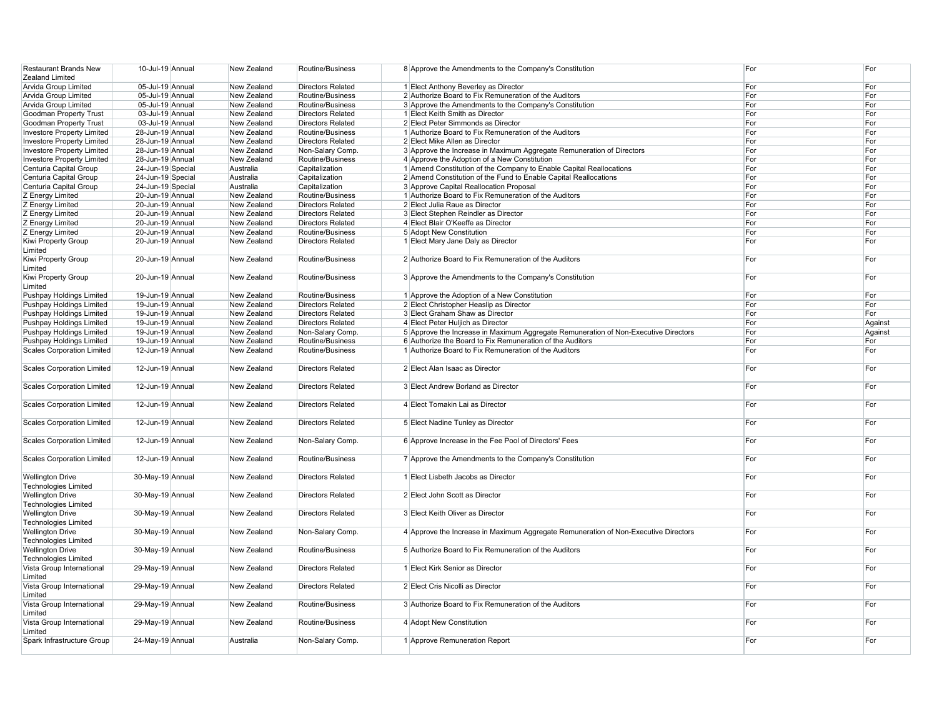| <b>Restaurant Brands New</b>      | 10-Jul-19 Annual  | New Zealand | Routine/Business         | 8 Approve the Amendments to the Company's Constitution                              | For | For     |
|-----------------------------------|-------------------|-------------|--------------------------|-------------------------------------------------------------------------------------|-----|---------|
| Zealand Limited                   |                   |             |                          |                                                                                     |     |         |
|                                   |                   |             |                          |                                                                                     |     |         |
| Arvida Group Limited              | 05-Jul-19 Annual  | New Zealand | <b>Directors Related</b> | 1 Elect Anthony Beverley as Director                                                | For | For     |
| Arvida Group Limited              | 05-Jul-19 Annual  | New Zealand | Routine/Business         | 2 Authorize Board to Fix Remuneration of the Auditors                               | For | For     |
| Arvida Group Limited              | 05-Jul-19 Annual  | New Zealand | Routine/Business         | 3 Approve the Amendments to the Company's Constitution                              | For | For     |
| Goodman Property Trust            | 03-Jul-19 Annual  | New Zealand | <b>Directors Related</b> | 1 Elect Keith Smith as Director                                                     | For | For     |
| Goodman Property Trust            | 03-Jul-19 Annual  | New Zealand | <b>Directors Related</b> | 2 Elect Peter Simmonds as Director                                                  | For | For     |
|                                   |                   |             |                          |                                                                                     |     |         |
| <b>Investore Property Limited</b> | 28-Jun-19 Annual  | New Zealand | Routine/Business         | 1 Authorize Board to Fix Remuneration of the Auditors                               | For | For     |
| <b>Investore Property Limited</b> | 28-Jun-19 Annual  | New Zealand | <b>Directors Related</b> | 2 Elect Mike Allen as Director                                                      | For | For     |
| <b>Investore Property Limited</b> | 28-Jun-19 Annual  | New Zealand | Non-Salary Comp.         | 3 Approve the Increase in Maximum Aggregate Remuneration of Directors               | For | For     |
| <b>Investore Property Limited</b> | 28-Jun-19 Annual  | New Zealand | Routine/Business         | 4 Approve the Adoption of a New Constitution                                        | For | For     |
|                                   | 24-Jun-19 Special | Australia   | Capitalization           | 1 Amend Constitution of the Company to Enable Capital Reallocations                 | For | For     |
| Centuria Capital Group            |                   |             |                          |                                                                                     |     |         |
| Centuria Capital Group            | 24-Jun-19 Special | Australia   | Capitalization           | 2 Amend Constitution of the Fund to Enable Capital Reallocations                    | For | For     |
| Centuria Capital Group            | 24-Jun-19 Special | Australia   | Capitalization           | 3 Approve Capital Reallocation Proposal                                             | For | For     |
| Z Energy Limited                  | 20-Jun-19 Annual  | New Zealand | Routine/Business         | 1 Authorize Board to Fix Remuneration of the Auditors                               | For | For     |
| Z Energy Limited                  | 20-Jun-19 Annual  | New Zealand | <b>Directors Related</b> | 2 Elect Julia Raue as Director                                                      | For | For     |
|                                   |                   | New Zealand | <b>Directors Related</b> |                                                                                     |     |         |
| Z Energy Limited                  | 20-Jun-19 Annual  |             |                          | 3 Elect Stephen Reindler as Director                                                | For | For     |
| Z Energy Limited                  | 20-Jun-19 Annual  | New Zealand | <b>Directors Related</b> | 4 Elect Blair O'Keeffe as Director                                                  | For | For     |
| Z Energy Limited                  | 20-Jun-19 Annual  | New Zealand | Routine/Business         | 5 Adopt New Constitution                                                            | For | For     |
| Kiwi Property Group               | 20-Jun-19 Annual  | New Zealand | <b>Directors Related</b> | 1 Elect Mary Jane Daly as Director                                                  | For | For     |
| Limited                           |                   |             |                          |                                                                                     |     |         |
|                                   |                   |             |                          |                                                                                     |     |         |
| Kiwi Property Group               | 20-Jun-19 Annual  | New Zealand | Routine/Business         | 2 Authorize Board to Fix Remuneration of the Auditors                               | For | For     |
| Limited                           |                   |             |                          |                                                                                     |     |         |
| Kiwi Property Group               | 20-Jun-19 Annual  | New Zealand | Routine/Business         | 3 Approve the Amendments to the Company's Constitution                              | For | For     |
| Limited                           |                   |             |                          |                                                                                     |     |         |
|                                   | 19-Jun-19 Annual  | New Zealand | Routine/Business         |                                                                                     | For | For     |
| Pushpay Holdings Limited          |                   |             |                          | 1 Approve the Adoption of a New Constitution                                        |     |         |
| Pushpay Holdings Limited          | 19-Jun-19 Annual  | New Zealand | <b>Directors Related</b> | 2 Elect Christopher Heaslip as Director                                             | For | For     |
| Pushpay Holdings Limited          | 19-Jun-19 Annual  | New Zealand | <b>Directors Related</b> | 3 Elect Graham Shaw as Director                                                     | For | For     |
| Pushpay Holdings Limited          | 19-Jun-19 Annual  | New Zealand | <b>Directors Related</b> | 4 Elect Peter Huljich as Director                                                   | For | Against |
|                                   | 19-Jun-19 Annual  | New Zealand |                          |                                                                                     | For |         |
| Pushpay Holdings Limited          |                   |             | Non-Salary Comp.         | 5 Approve the Increase in Maximum Aggregate Remuneration of Non-Executive Directors |     | Against |
| Pushpay Holdings Limited          | 19-Jun-19 Annual  | New Zealand | Routine/Business         | 6 Authorize the Board to Fix Remuneration of the Auditors                           | For | For     |
| Scales Corporation Limited        | 12-Jun-19 Annual  | New Zealand | Routine/Business         | 1 Authorize Board to Fix Remuneration of the Auditors                               | For | For     |
|                                   |                   |             |                          |                                                                                     |     |         |
|                                   |                   |             |                          |                                                                                     |     |         |
|                                   |                   |             |                          |                                                                                     |     |         |
| <b>Scales Corporation Limited</b> | 12-Jun-19 Annual  | New Zealand | <b>Directors Related</b> | 2 Elect Alan Isaac as Director                                                      | For | For     |
|                                   |                   |             |                          |                                                                                     |     |         |
| Scales Corporation Limited        | 12-Jun-19 Annual  | New Zealand | <b>Directors Related</b> | 3 Elect Andrew Borland as Director                                                  | For | For     |
|                                   |                   |             |                          |                                                                                     |     |         |
|                                   |                   |             |                          |                                                                                     |     |         |
| Scales Corporation Limited        | 12-Jun-19 Annual  | New Zealand | <b>Directors Related</b> | 4 Elect Tomakin Lai as Director                                                     | For | For     |
|                                   |                   |             |                          |                                                                                     |     |         |
| <b>Scales Corporation Limited</b> | 12-Jun-19 Annual  | New Zealand | <b>Directors Related</b> | 5 Elect Nadine Tunley as Director                                                   | For | For     |
|                                   |                   |             |                          |                                                                                     |     |         |
|                                   | 12-Jun-19 Annual  | New Zealand |                          |                                                                                     | For | For     |
| <b>Scales Corporation Limited</b> |                   |             | Non-Salary Comp.         | 6 Approve Increase in the Fee Pool of Directors' Fees                               |     |         |
|                                   |                   |             |                          |                                                                                     |     |         |
| <b>Scales Corporation Limited</b> | 12-Jun-19 Annual  | New Zealand | Routine/Business         | 7 Approve the Amendments to the Company's Constitution                              | For | For     |
|                                   |                   |             |                          |                                                                                     |     |         |
| <b>Wellington Drive</b>           | 30-May-19 Annual  | New Zealand | <b>Directors Related</b> | 1 Elect Lisbeth Jacobs as Director                                                  | For | For     |
|                                   |                   |             |                          |                                                                                     |     |         |
| <b>Technologies Limited</b>       |                   |             |                          |                                                                                     |     |         |
| <b>Wellington Drive</b>           | 30-May-19 Annual  | New Zealand | Directors Related        | 2 Elect John Scott as Director                                                      | For | For     |
| Technologies Limited              |                   |             |                          |                                                                                     |     |         |
| <b>Wellington Drive</b>           | 30-May-19 Annual  | New Zealand | <b>Directors Related</b> | 3 Elect Keith Oliver as Director                                                    | For | For     |
|                                   |                   |             |                          |                                                                                     |     |         |
| Technologies Limited              |                   |             |                          |                                                                                     |     |         |
| <b>Wellington Drive</b>           | 30-May-19 Annual  | New Zealand | Non-Salary Comp.         | 4 Approve the Increase in Maximum Aggregate Remuneration of Non-Executive Directors | For | For     |
| Technologies Limited              |                   |             |                          |                                                                                     |     |         |
| <b>Wellington Drive</b>           | 30-May-19 Annual  | New Zealand | Routine/Business         | 5 Authorize Board to Fix Remuneration of the Auditors                               | For | For     |
| <b>Technologies Limited</b>       |                   |             |                          |                                                                                     |     |         |
| Vista Group International         | 29-May-19 Annual  | New Zealand | <b>Directors Related</b> | 1 Elect Kirk Senior as Director                                                     | For | For     |
|                                   |                   |             |                          |                                                                                     |     |         |
| Limited                           |                   |             |                          |                                                                                     |     |         |
| Vista Group International         | 29-May-19 Annual  | New Zealand | <b>Directors Related</b> | 2 Elect Cris Nicolli as Director                                                    | For | For     |
| Limited                           |                   |             |                          |                                                                                     |     |         |
| Vista Group International         | 29-May-19 Annual  | New Zealand | Routine/Business         | 3 Authorize Board to Fix Remuneration of the Auditors                               | For | For     |
|                                   |                   |             |                          |                                                                                     |     |         |
| Limited                           |                   |             |                          |                                                                                     |     |         |
| Vista Group International         | 29-May-19 Annual  | New Zealand | Routine/Business         | 4 Adopt New Constitution                                                            | For | For     |
| Limited                           |                   |             |                          |                                                                                     |     |         |
| Spark Infrastructure Group        | 24-May-19 Annual  | Australia   | Non-Salary Comp.         | 1 Approve Remuneration Report                                                       | For | For     |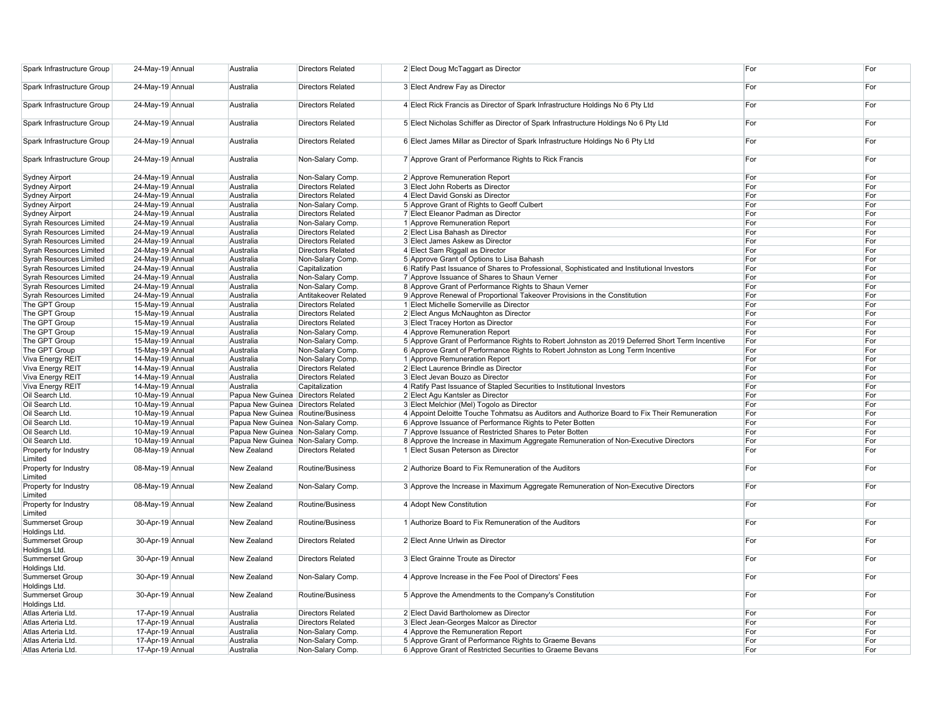| Spark Infrastructure Group              | 24-May-19 Annual | Australia                          | <b>Directors Related</b> | 2 Elect Doug McTaggart as Director                                                             | For | For |
|-----------------------------------------|------------------|------------------------------------|--------------------------|------------------------------------------------------------------------------------------------|-----|-----|
| Spark Infrastructure Group              | 24-May-19 Annual | Australia                          | <b>Directors Related</b> | 3 Elect Andrew Fay as Director                                                                 | For | For |
| Spark Infrastructure Group              | 24-May-19 Annual | Australia                          | <b>Directors Related</b> | 4 Elect Rick Francis as Director of Spark Infrastructure Holdings No 6 Pty Ltd                 | For | For |
| Spark Infrastructure Group              | 24-May-19 Annual | Australia                          | <b>Directors Related</b> | 5 Elect Nicholas Schiffer as Director of Spark Infrastructure Holdings No 6 Pty Ltd            | For | For |
| Spark Infrastructure Group              | 24-May-19 Annual | Australia                          | <b>Directors Related</b> | 6 Elect James Millar as Director of Spark Infrastructure Holdings No 6 Pty Ltd                 | For | For |
| Spark Infrastructure Group              | 24-May-19 Annual | Australia                          | Non-Salary Comp.         | 7 Approve Grant of Performance Rights to Rick Francis                                          | For | For |
| <b>Sydney Airport</b>                   | 24-May-19 Annual | Australia                          | Non-Salary Comp.         | 2 Approve Remuneration Report                                                                  | For | For |
| <b>Sydney Airport</b>                   | 24-May-19 Annual | Australia                          | <b>Directors Related</b> | 3 Elect John Roberts as Director                                                               | For | For |
| <b>Sydney Airport</b>                   | 24-May-19 Annual | Australia                          | <b>Directors Related</b> | 4 Elect David Gonski as Director                                                               | For | For |
| Sydney Airport                          | 24-May-19 Annual | Australia                          | Non-Salary Comp.         | 5 Approve Grant of Rights to Geoff Culbert                                                     | For | For |
| <b>Sydney Airport</b>                   | 24-May-19 Annual | Australia                          | <b>Directors Related</b> | 7 Elect Eleanor Padman as Director                                                             | For | For |
| <b>Syrah Resources Limited</b>          | 24-May-19 Annual | Australia                          | Non-Salary Comp.         | 1 Approve Remuneration Report                                                                  | For | For |
| <b>Syrah Resources Limited</b>          | 24-May-19 Annual | Australia                          | <b>Directors Related</b> | 2 Elect Lisa Bahash as Director                                                                | For | For |
| <b>Syrah Resources Limited</b>          | 24-May-19 Annual | Australia                          | <b>Directors Related</b> | 3 Elect James Askew as Director                                                                | For | For |
| <b>Syrah Resources Limited</b>          | 24-May-19 Annual | Australia                          | <b>Directors Related</b> | 4 Elect Sam Riggall as Director                                                                | For | For |
| <b>Syrah Resources Limited</b>          | 24-May-19 Annual | Australia                          | Non-Salary Comp.         | 5 Approve Grant of Options to Lisa Bahash                                                      | For | For |
| <b>Syrah Resources Limited</b>          | 24-May-19 Annual | Australia                          | Capitalization           | 6 Ratify Past Issuance of Shares to Professional, Sophisticated and Institutional Investors    | For | For |
| <b>Syrah Resources Limited</b>          | 24-May-19 Annual | Australia                          | Non-Salary Comp.         | 7 Approve Issuance of Shares to Shaun Verner                                                   | For | For |
| <b>Syrah Resources Limited</b>          | 24-May-19 Annual | Australia                          | Non-Salary Comp.         | 8 Approve Grant of Performance Rights to Shaun Verner                                          | For | For |
| <b>Syrah Resources Limited</b>          | 24-May-19 Annual | Australia                          | Antitakeover Related     | 9 Approve Renewal of Proportional Takeover Provisions in the Constitution                      | For | For |
| The GPT Group                           | 15-May-19 Annual | Australia                          | <b>Directors Related</b> | 1 Elect Michelle Somerville as Director                                                        | For | For |
| The GPT Group                           | 15-May-19 Annual | Australia                          | <b>Directors Related</b> | 2 Elect Angus McNaughton as Director                                                           | For | For |
| The GPT Group                           | 15-May-19 Annual | Australia                          | <b>Directors Related</b> | 3 Elect Tracey Horton as Director                                                              | For | For |
| The GPT Group                           | 15-May-19 Annual | Australia                          | Non-Salary Comp.         | 4 Approve Remuneration Report                                                                  | For | For |
| The GPT Group                           | 15-May-19 Annual | Australia                          | Non-Salary Comp.         | 5 Approve Grant of Performance Rights to Robert Johnston as 2019 Deferred Short Term Incentive | For | For |
| The GPT Group                           | 15-May-19 Annual | Australia                          | Non-Salary Comp.         | 6 Approve Grant of Performance Rights to Robert Johnston as Long Term Incentive                | For | For |
| Viva Energy REIT                        | 14-May-19 Annual | Australia                          | Non-Salary Comp.         | 1 Approve Remuneration Report                                                                  | For | For |
| Viva Energy REIT                        | 14-May-19 Annual | Australia                          | <b>Directors Related</b> | 2 Elect Laurence Brindle as Director                                                           | For | For |
| Viva Energy REIT                        | 14-May-19 Annual | Australia                          | <b>Directors Related</b> | 3 Elect Jevan Bouzo as Director                                                                | For | For |
| Viva Energy REIT                        | 14-May-19 Annual | Australia                          | Capitalization           | 4 Ratify Past Issuance of Stapled Securities to Institutional Investors                        | For | For |
| Oil Search Ltd.                         | 10-May-19 Annual | Papua New Guinea Directors Related |                          | 2 Elect Agu Kantsler as Director                                                               | For | For |
| Oil Search Ltd                          | 10-May-19 Annual | Papua New Guinea Directors Related |                          | 3 Elect Melchior (Mel) Togolo as Director                                                      | For | For |
| Oil Search Ltd.                         | 10-May-19 Annual | Papua New Guinea Routine/Business  |                          | 4 Appoint Deloitte Touche Tohmatsu as Auditors and Authorize Board to Fix Their Remuneration   | For | For |
| Oil Search Ltd.                         | 10-May-19 Annual | Papua New Guinea Non-Salary Comp.  |                          | 6 Approve Issuance of Performance Rights to Peter Botten                                       | For | For |
| Oil Search Ltd.                         | 10-May-19 Annual | Papua New Guinea Non-Salary Comp.  |                          | 7 Approve Issuance of Restricted Shares to Peter Botten                                        | For | For |
| Oil Search Ltd.                         | 10-May-19 Annual | Papua New Guinea Non-Salary Comp.  |                          | 8 Approve the Increase in Maximum Aggregate Remuneration of Non-Executive Directors            | For | For |
| Property for Industry<br>Limited        | 08-May-19 Annual | New Zealand                        | <b>Directors Related</b> | 1 Elect Susan Peterson as Director                                                             | For | For |
| Property for Industry<br>Limited        | 08-May-19 Annual | New Zealand                        | Routine/Business         | 2 Authorize Board to Fix Remuneration of the Auditors                                          | For | For |
| Property for Industry<br>Limited        | 08-May-19 Annual | New Zealand                        | Non-Salary Comp.         | 3 Approve the Increase in Maximum Aggregate Remuneration of Non-Executive Directors            | For | For |
| Property for Industry<br>Limited        | 08-May-19 Annual | New Zealand                        | Routine/Business         | 4 Adopt New Constitution                                                                       | For | For |
| Summerset Group<br>Holdings Ltd.        | 30-Apr-19 Annual | New Zealand                        | Routine/Business         | 1 Authorize Board to Fix Remuneration of the Auditors                                          | For | For |
| Summerset Group<br>Holdings Ltd.        | 30-Apr-19 Annual | New Zealand                        | <b>Directors Related</b> | 2 Elect Anne Urlwin as Director                                                                | For | For |
| <b>Summerset Group</b><br>Holdings Ltd. | 30-Apr-19 Annual | New Zealand                        | <b>Directors Related</b> | 3 Elect Grainne Troute as Director                                                             | For | For |
| <b>Summerset Group</b><br>Holdings Ltd. | 30-Apr-19 Annual | New Zealand                        | Non-Salary Comp.         | 4 Approve Increase in the Fee Pool of Directors' Fees                                          | For | For |
| Summerset Group<br>Holdings Ltd.        | 30-Apr-19 Annual | New Zealand                        | Routine/Business         | 5 Approve the Amendments to the Company's Constitution                                         | For | For |
| Atlas Arteria Ltd.                      | 17-Apr-19 Annual | Australia                          | <b>Directors Related</b> | 2 Elect David Bartholomew as Director                                                          | For | For |
| Atlas Arteria Ltd.                      | 17-Apr-19 Annual | Australia                          | <b>Directors Related</b> | 3 Elect Jean-Georges Malcor as Director                                                        | For | For |
| Atlas Arteria Ltd.                      | 17-Apr-19 Annual | Australia                          | Non-Salary Comp.         | 4 Approve the Remuneration Report                                                              | For | For |
| Atlas Arteria Ltd.                      | 17-Apr-19 Annual | Australia                          | Non-Salary Comp.         | 5 Approve Grant of Performance Rights to Graeme Bevans                                         | For | For |
| Atlas Arteria Ltd.                      | 17-Apr-19 Annual | Australia                          | Non-Salary Comp.         | 6 Approve Grant of Restricted Securities to Graeme Bevans                                      | For | For |
|                                         |                  |                                    |                          |                                                                                                |     |     |